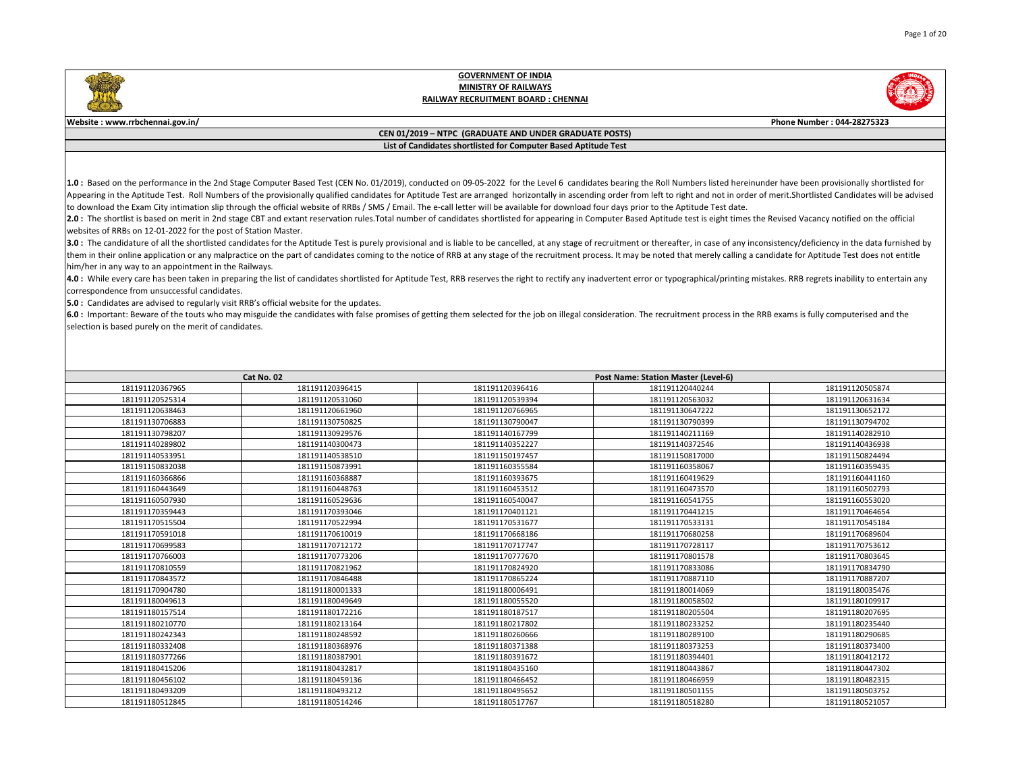

**Website : www.rrbchennai.gov.in/ Phone Number : 044-28275323**

### **CEN 01/2019 – NTPC (GRADUATE AND UNDER GRADUATE POSTS) List of Candidates shortlisted for Computer Based Aptitude Test**

1.0: Based on the performance in the 2nd Stage Computer Based Test (CEN No. 01/2019), conducted on 09-05-2022 for the Level 6 candidates bearing the Roll Numbers listed hereinunder have been provisionally shortlisted for Appearing in the Aptitude Test. Roll Numbers of the provisionally qualified candidates for Aptitude Test are arranged horizontally in ascending order from left to right and not in order of merit. Shortlisted Candidates wil to download the Exam City intimation slip through the official website of RRBs / SMS / Email. The e-call letter will be available for download four days prior to the Aptitude Test date.

2.0: The shortlist is based on merit in 2nd stage CBT and extant reservation rules. Total number of candidates shortlisted for appearing in Computer Based Aptitude test is eight times the Revised Vacancy notified on the of websites of RRBs on 12-01-2022 for the post of Station Master.

3.0 : The candidature of all the shortlisted candidates for the Aptitude Test is purely provisional and is liable to be cancelled, at any stage of recruitment or thereafter, in case of any inconsistency/deficiency in the d them in their online application or any malpractice on the part of candidates coming to the notice of RRB at any stage of the recruitment process. It may be noted that merely calling a candidate for Aptitude Test does not him/her in any way to an appointment in the Railways.

4.0: While every care has been taken in preparing the list of candidates shortlisted for Aptitude Test, RRB reserves the right to rectify any inadvertent error or typographical/printing mistakes. RRB regrets inability to e correspondence from unsuccessful candidates.

**5.0 :** Candidates are advised to regularly visit RRB's official website for the updates.

 $6.0$ : Important: Beware of the touts who may misguide the candidates with false promises of getting them selected for the job on illegal consideration. The recruitment process in the RRB exams is fully computerised and t selection is based purely on the merit of candidates.

|                 | Cat No. 02      |                 | Post Name: Station Master (Level-6) |                 |
|-----------------|-----------------|-----------------|-------------------------------------|-----------------|
|                 |                 |                 |                                     |                 |
| 181191120367965 | 181191120396415 | 181191120396416 | 181191120440244                     | 181191120505874 |
| 181191120525314 | 181191120531060 | 181191120539394 | 181191120563032                     | 181191120631634 |
| 181191120638463 | 181191120661960 | 181191120766965 | 181191130647222                     | 181191130652172 |
| 181191130706883 | 181191130750825 | 181191130790047 | 181191130790399                     | 181191130794702 |
| 181191130798207 | 181191130929576 | 181191140167799 | 181191140211169                     | 181191140282910 |
| 181191140289802 | 181191140300473 | 181191140352227 | 181191140372546                     | 181191140436938 |
| 181191140533951 | 181191140538510 | 181191150197457 | 181191150817000                     | 181191150824494 |
| 181191150832038 | 181191150873991 | 181191160355584 | 181191160358067                     | 181191160359435 |
| 181191160366866 | 181191160368887 | 181191160393675 | 181191160419629                     | 181191160441160 |
| 181191160443649 | 181191160448763 | 181191160453512 | 181191160473570                     | 181191160502793 |
| 181191160507930 | 181191160529636 | 181191160540047 | 181191160541755                     | 181191160553020 |
| 181191170359443 | 181191170393046 | 181191170401121 | 181191170441215                     | 181191170464654 |
| 181191170515504 | 181191170522994 | 181191170531677 | 181191170533131                     | 181191170545184 |
| 181191170591018 | 181191170610019 | 181191170668186 | 181191170680258                     | 181191170689604 |
| 181191170699583 | 181191170712172 | 181191170717747 | 181191170728117                     | 181191170753612 |
| 181191170766003 | 181191170773206 | 181191170777670 | 181191170801578                     | 181191170803645 |
| 181191170810559 | 181191170821962 | 181191170824920 | 181191170833086                     | 181191170834790 |
| 181191170843572 | 181191170846488 | 181191170865224 | 181191170887110                     | 181191170887207 |
| 181191170904780 | 181191180001333 | 181191180006491 | 181191180014069                     | 181191180035476 |
| 181191180049613 | 181191180049649 | 181191180055520 | 181191180058502                     | 181191180109917 |
| 181191180157514 | 181191180172216 | 181191180187517 | 181191180205504                     | 181191180207695 |
| 181191180210770 | 181191180213164 | 181191180217802 | 181191180233252                     | 181191180235440 |
| 181191180242343 | 181191180248592 | 181191180260666 | 181191180289100                     | 181191180290685 |
| 181191180332408 | 181191180368976 | 181191180371388 | 181191180373253                     | 181191180373400 |
| 181191180377266 | 181191180387901 | 181191180391672 | 181191180394401                     | 181191180412172 |
| 181191180415206 | 181191180432817 | 181191180435160 | 181191180443867                     | 181191180447302 |
| 181191180456102 | 181191180459136 | 181191180466452 | 181191180466959                     | 181191180482315 |
| 181191180493209 | 181191180493212 | 181191180495652 | 181191180501155                     | 181191180503752 |
| 181191180512845 | 181191180514246 | 181191180517767 | 181191180518280                     | 181191180521057 |

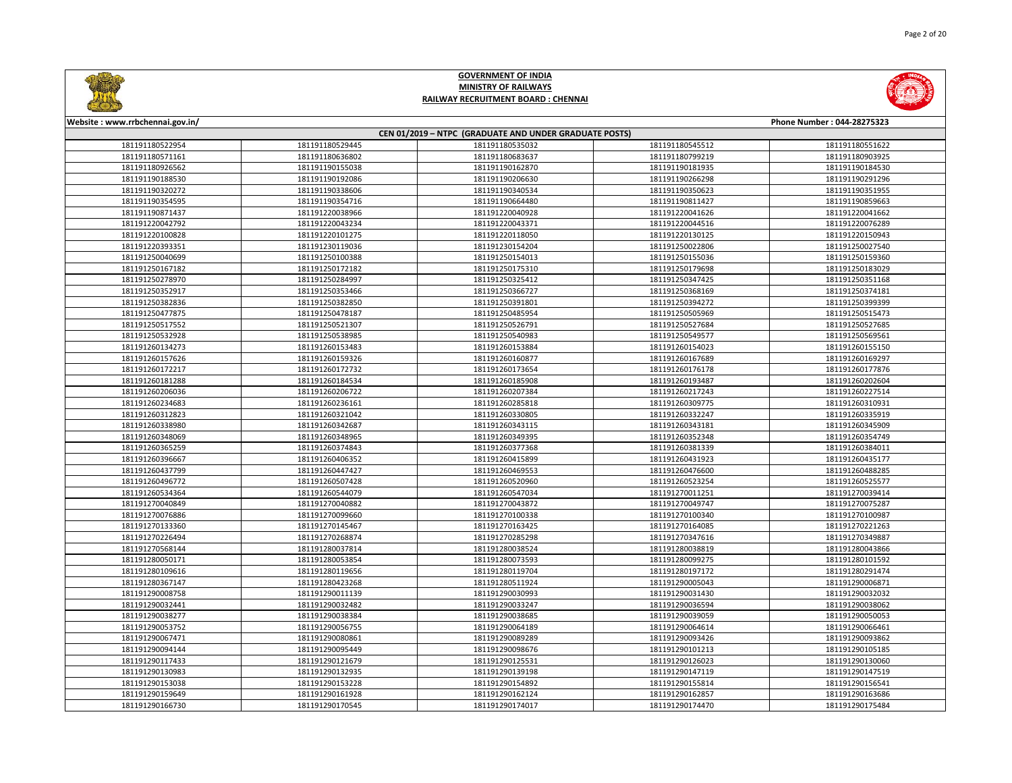

Page 2 of 20

# **GOVERNMENT OF INDIA MINISTRY OF RAILWAYS RAILWAY RECRUITMENT BOARD : CHENNAI**

| CEN 01/2019 - NTPC (GRADUATE AND UNDER GRADUATE POSTS) |                 |                 |                 |                 |
|--------------------------------------------------------|-----------------|-----------------|-----------------|-----------------|
| 181191180522954                                        | 181191180529445 | 181191180535032 | 181191180545512 | 181191180551622 |
| 181191180571161                                        | 181191180636802 | 181191180683637 | 181191180799219 | 181191180903925 |
| 181191180926562                                        | 181191190155038 | 181191190162870 | 181191190181935 | 181191190184530 |
| 181191190188530                                        | 181191190192086 | 181191190206630 | 181191190266298 | 181191190291296 |
| 181191190320272                                        | 181191190338606 | 181191190340534 | 181191190350623 | 181191190351955 |
| 181191190354595                                        | 181191190354716 | 181191190664480 | 181191190811427 | 181191190859663 |
| 181191190871437                                        | 181191220038966 | 181191220040928 | 181191220041626 | 181191220041662 |
| 181191220042792                                        | 181191220043234 | 181191220043371 | 181191220044516 | 181191220076289 |
| 181191220100828                                        | 181191220101275 | 181191220118050 | 181191220130125 | 181191220150943 |
| 181191220393351                                        | 181191230119036 | 181191230154204 | 181191250022806 | 181191250027540 |
| 181191250040699                                        | 181191250100388 | 181191250154013 | 181191250155036 | 181191250159360 |
| 181191250167182                                        | 181191250172182 | 181191250175310 | 181191250179698 | 181191250183029 |
| 181191250278970                                        | 181191250284997 | 181191250325412 | 181191250347425 | 181191250351168 |
| 181191250352917                                        | 181191250353466 | 181191250366727 | 181191250368169 | 181191250374181 |
| 181191250382836                                        | 181191250382850 | 181191250391801 | 181191250394272 | 181191250399399 |
| 181191250477875                                        | 181191250478187 | 181191250485954 | 181191250505969 | 181191250515473 |
| 181191250517552                                        | 181191250521307 | 181191250526791 | 181191250527684 | 181191250527685 |
| 181191250532928                                        | 181191250538985 | 181191250540983 | 181191250549577 | 181191250569561 |
| 181191260134273                                        | 181191260153483 | 181191260153884 | 181191260154023 | 181191260155150 |
| 181191260157626                                        | 181191260159326 | 181191260160877 | 181191260167689 | 181191260169297 |
| 181191260172217                                        | 181191260172732 | 181191260173654 | 181191260176178 | 181191260177876 |
| 181191260181288                                        | 181191260184534 | 181191260185908 | 181191260193487 | 181191260202604 |
| 181191260206036                                        | 181191260206722 | 181191260207384 | 181191260217243 | 181191260227514 |
| 181191260234683                                        | 181191260236161 | 181191260285818 | 181191260309775 | 181191260310931 |
| 181191260312823                                        | 181191260321042 | 181191260330805 | 181191260332247 | 181191260335919 |
| 181191260338980                                        | 181191260342687 | 181191260343115 | 181191260343181 | 181191260345909 |
| 181191260348069                                        | 181191260348965 | 181191260349395 | 181191260352348 | 181191260354749 |
| 181191260365259                                        | 181191260374843 | 181191260377368 | 181191260381339 | 181191260384011 |
| 181191260396667                                        | 181191260406352 | 181191260415899 | 181191260431923 | 181191260435177 |
| 181191260437799                                        | 181191260447427 | 181191260469553 | 181191260476600 | 181191260488285 |
| 181191260496772                                        | 181191260507428 | 181191260520960 | 181191260523254 | 181191260525577 |
| 181191260534364                                        | 181191260544079 | 181191260547034 | 181191270011251 | 181191270039414 |
| 181191270040849                                        | 181191270040882 | 181191270043872 | 181191270049747 | 181191270075287 |
| 181191270076886                                        | 181191270099660 | 181191270100338 | 181191270100340 | 181191270100987 |
| 181191270133360                                        | 181191270145467 | 181191270163425 | 181191270164085 | 181191270221263 |
| 181191270226494                                        | 181191270268874 | 181191270285298 | 181191270347616 | 181191270349887 |
| 181191270568144                                        | 181191280037814 | 181191280038524 | 181191280038819 | 181191280043866 |
| 181191280050171                                        | 181191280053854 | 181191280073593 | 181191280099275 | 181191280101592 |
| 181191280109616                                        | 181191280119656 | 181191280119704 | 181191280197172 | 181191280291474 |
| 181191280367147                                        | 181191280423268 | 181191280511924 | 181191290005043 | 181191290006871 |
| 181191290008758                                        | 181191290011139 | 181191290030993 | 181191290031430 | 181191290032032 |
| 181191290032441                                        | 181191290032482 | 181191290033247 | 181191290036594 | 181191290038062 |
| 181191290038277                                        | 181191290038384 | 181191290038685 | 181191290039059 | 181191290050053 |
| 181191290053752                                        | 181191290056755 | 181191290064189 | 181191290064614 | 181191290066461 |
| 181191290067471                                        | 181191290080861 | 181191290089289 | 181191290093426 | 181191290093862 |
| 181191290094144                                        | 181191290095449 | 181191290098676 | 181191290101213 | 181191290105185 |
| 181191290117433                                        | 181191290121679 | 181191290125531 | 181191290126023 | 181191290130060 |
| 181191290130983                                        | 181191290132935 | 181191290139198 | 181191290147119 | 181191290147519 |
| 181191290153038                                        | 181191290153228 | 181191290154892 | 181191290155814 | 181191290156541 |
| 181191290159649                                        | 181191290161928 | 181191290162124 | 181191290162857 | 181191290163686 |
| 181191290166730                                        | 181191290170545 | 181191290174017 | 181191290174470 | 181191290175484 |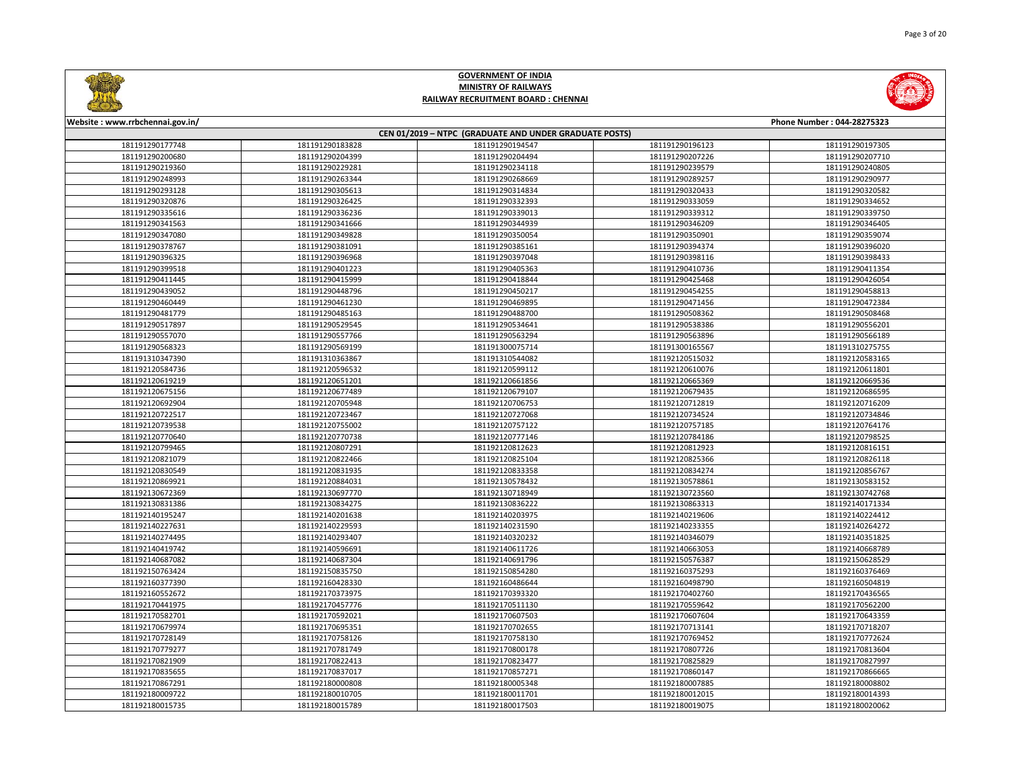

|                 | CEN 01/2019 - NTPC (GRADUATE AND UNDER GRADUATE POSTS) |                 |                 |                 |  |  |
|-----------------|--------------------------------------------------------|-----------------|-----------------|-----------------|--|--|
| 181191290177748 | 181191290183828                                        | 181191290194547 | 181191290196123 | 181191290197305 |  |  |
| 181191290200680 | 181191290204399                                        | 181191290204494 | 181191290207226 | 181191290207710 |  |  |
| 181191290219360 | 181191290229281                                        | 181191290234118 | 181191290239579 | 181191290240805 |  |  |
| 181191290248993 | 181191290263344                                        | 181191290268669 | 181191290289257 | 181191290290977 |  |  |
| 181191290293128 | 181191290305613                                        | 181191290314834 | 181191290320433 | 181191290320582 |  |  |
| 181191290320876 | 181191290326425                                        | 181191290332393 | 181191290333059 | 181191290334652 |  |  |
| 181191290335616 | 181191290336236                                        | 181191290339013 | 181191290339312 | 181191290339750 |  |  |
| 181191290341563 | 181191290341666                                        | 181191290344939 | 181191290346209 | 181191290346405 |  |  |
| 181191290347080 | 181191290349828                                        | 181191290350054 | 181191290350901 | 181191290359074 |  |  |
| 181191290378767 | 181191290381091                                        | 181191290385161 | 181191290394374 | 181191290396020 |  |  |
| 181191290396325 | 181191290396968                                        | 181191290397048 | 181191290398116 | 181191290398433 |  |  |
| 181191290399518 | 181191290401223                                        | 181191290405363 | 181191290410736 | 181191290411354 |  |  |
| 181191290411445 | 181191290415999                                        | 181191290418844 | 181191290425468 | 181191290426054 |  |  |
| 181191290439052 | 181191290448796                                        | 181191290450217 | 181191290454255 | 181191290458813 |  |  |
| 181191290460449 | 181191290461230                                        | 181191290469895 | 181191290471456 | 181191290472384 |  |  |
| 181191290481779 | 181191290485163                                        | 181191290488700 | 181191290508362 | 181191290508468 |  |  |
| 181191290517897 | 181191290529545                                        | 181191290534641 | 181191290538386 | 181191290556201 |  |  |
| 181191290557070 | 181191290557766                                        | 181191290563294 | 181191290563896 | 181191290566189 |  |  |
| 181191290568323 | 181191290569199                                        | 181191300075714 | 181191300165567 | 181191310275755 |  |  |
| 181191310347390 | 181191310363867                                        | 181191310544082 | 181192120515032 | 181192120583165 |  |  |
| 181192120584736 | 181192120596532                                        | 181192120599112 | 181192120610076 | 181192120611801 |  |  |
| 181192120619219 | 181192120651201                                        | 181192120661856 | 181192120665369 | 181192120669536 |  |  |
| 181192120675156 | 181192120677489                                        | 181192120679107 | 181192120679435 | 181192120686595 |  |  |
| 181192120692904 | 181192120705948                                        | 181192120706753 | 181192120712819 | 181192120716209 |  |  |
| 181192120722517 | 181192120723467                                        | 181192120727068 | 181192120734524 | 181192120734846 |  |  |
| 181192120739538 | 181192120755002                                        | 181192120757122 | 181192120757185 | 181192120764176 |  |  |
| 181192120770640 | 181192120770738                                        | 181192120777146 | 181192120784186 | 181192120798525 |  |  |
| 181192120799465 | 181192120807291                                        | 181192120812623 | 181192120812923 | 181192120816151 |  |  |
| 181192120821079 | 181192120822466                                        | 181192120825104 | 181192120825366 | 181192120826118 |  |  |
| 181192120830549 | 181192120831935                                        | 181192120833358 | 181192120834274 | 181192120856767 |  |  |
| 181192120869921 | 181192120884031                                        | 181192130578432 | 181192130578861 | 181192130583152 |  |  |
| 181192130672369 | 181192130697770                                        | 181192130718949 | 181192130723560 | 181192130742768 |  |  |
| 181192130831386 | 181192130834275                                        | 181192130836222 | 181192130863313 | 181192140171334 |  |  |
| 181192140195247 | 181192140201638                                        | 181192140203975 | 181192140219606 | 181192140224412 |  |  |
| 181192140227631 | 181192140229593                                        | 181192140231590 | 181192140233355 | 181192140264272 |  |  |
| 181192140274495 | 181192140293407                                        | 181192140320232 | 181192140346079 | 181192140351825 |  |  |
| 181192140419742 | 181192140596691                                        | 181192140611726 | 181192140663053 | 181192140668789 |  |  |
| 181192140687082 | 181192140687304                                        | 181192140691796 | 181192150576387 | 181192150628529 |  |  |
| 181192150763424 | 181192150835750                                        | 181192150854280 | 181192160375293 | 181192160376469 |  |  |
| 181192160377390 | 181192160428330                                        | 181192160486644 | 181192160498790 | 181192160504819 |  |  |
| 181192160552672 | 181192170373975                                        | 181192170393320 | 181192170402760 | 181192170436565 |  |  |
| 181192170441975 | 181192170457776                                        | 181192170511130 | 181192170559642 | 181192170562200 |  |  |
| 181192170582701 | 181192170592021                                        | 181192170607503 | 181192170607604 | 181192170643359 |  |  |
| 181192170679974 | 181192170695351                                        | 181192170702655 | 181192170713141 | 181192170718207 |  |  |
| 181192170728149 | 181192170758126                                        | 181192170758130 | 181192170769452 | 181192170772624 |  |  |
| 181192170779277 | 181192170781749                                        | 181192170800178 | 181192170807726 | 181192170813604 |  |  |
| 181192170821909 | 181192170822413                                        | 181192170823477 | 181192170825829 | 181192170827997 |  |  |
| 181192170835655 | 181192170837017                                        | 181192170857271 | 181192170860147 | 181192170866665 |  |  |
| 181192170867291 | 181192180000808                                        | 181192180005348 | 181192180007885 | 181192180008802 |  |  |
| 181192180009722 | 181192180010705                                        | 181192180011701 | 181192180012015 | 181192180014393 |  |  |
| 181192180015735 | 181192180015789                                        | 181192180017503 | 181192180019075 | 181192180020062 |  |  |

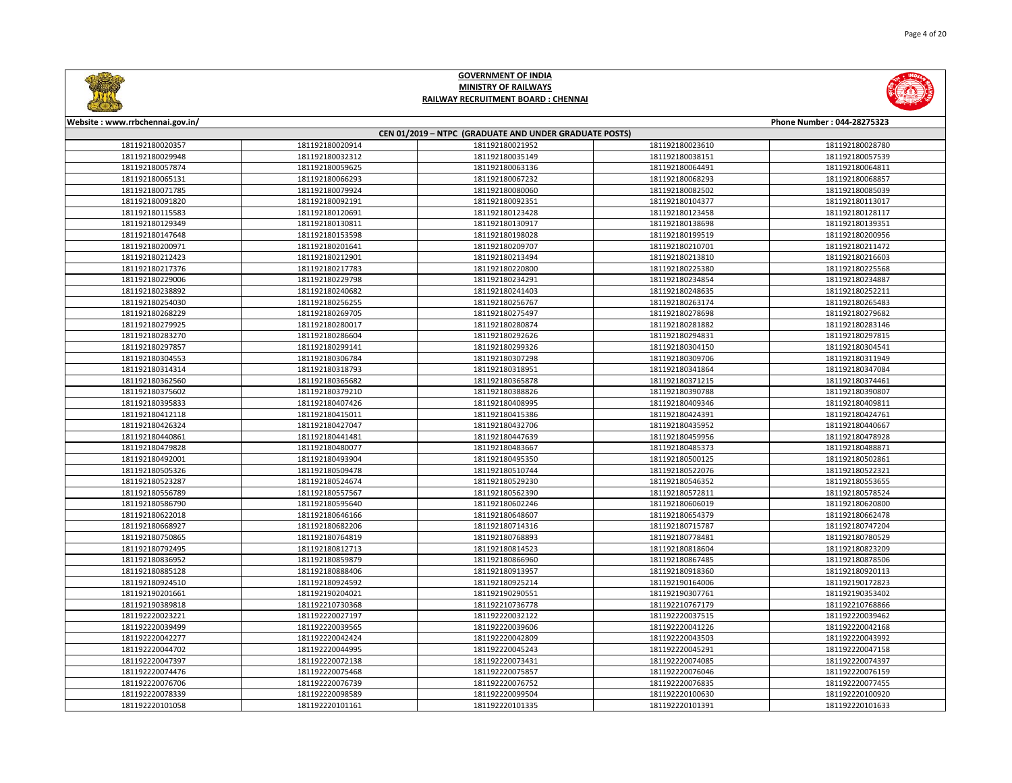

|                 | CEN 01/2019 - NTPC (GRADUATE AND UNDER GRADUATE POSTS) |                 |                 |                 |  |
|-----------------|--------------------------------------------------------|-----------------|-----------------|-----------------|--|
| 181192180020357 | 181192180020914                                        | 181192180021952 | 181192180023610 | 181192180028780 |  |
| 181192180029948 | 181192180032312                                        | 181192180035149 | 181192180038151 | 181192180057539 |  |
| 181192180057874 | 181192180059625                                        | 181192180063136 | 181192180064491 | 181192180064811 |  |
| 181192180065131 | 181192180066293                                        | 181192180067232 | 181192180068293 | 181192180068857 |  |
| 181192180071785 | 181192180079924                                        | 181192180080060 | 181192180082502 | 181192180085039 |  |
| 181192180091820 | 181192180092191                                        | 181192180092351 | 181192180104377 | 181192180113017 |  |
| 181192180115583 | 181192180120691                                        | 181192180123428 | 181192180123458 | 181192180128117 |  |
| 181192180129349 | 181192180130811                                        | 181192180130917 | 181192180138698 | 181192180139351 |  |
| 181192180147648 | 181192180153598                                        | 181192180198028 | 181192180199519 | 181192180200956 |  |
| 181192180200971 | 181192180201641                                        | 181192180209707 | 181192180210701 | 181192180211472 |  |
| 181192180212423 | 181192180212901                                        | 181192180213494 | 181192180213810 | 181192180216603 |  |
| 181192180217376 | 181192180217783                                        | 181192180220800 | 181192180225380 | 181192180225568 |  |
| 181192180229006 | 181192180229798                                        | 181192180234291 | 181192180234854 | 181192180234887 |  |
| 181192180238892 | 181192180240682                                        | 181192180241403 | 181192180248635 | 181192180252211 |  |
| 181192180254030 | 181192180256255                                        | 181192180256767 | 181192180263174 | 181192180265483 |  |
| 181192180268229 | 181192180269705                                        | 181192180275497 | 181192180278698 | 181192180279682 |  |
| 181192180279925 | 181192180280017                                        | 181192180280874 | 181192180281882 | 181192180283146 |  |
| 181192180283270 | 181192180286604                                        | 181192180292626 | 181192180294831 | 181192180297815 |  |
| 181192180297857 | 181192180299141                                        | 181192180299326 | 181192180304150 | 181192180304541 |  |
| 181192180304553 | 181192180306784                                        | 181192180307298 | 181192180309706 | 181192180311949 |  |
| 181192180314314 | 181192180318793                                        | 181192180318951 | 181192180341864 | 181192180347084 |  |
| 181192180362560 | 181192180365682                                        | 181192180365878 | 181192180371215 | 181192180374461 |  |
| 181192180375602 | 181192180379210                                        | 181192180388826 | 181192180390788 | 181192180390807 |  |
| 181192180395833 | 181192180407426                                        | 181192180408995 | 181192180409346 | 181192180409811 |  |
| 181192180412118 | 181192180415011                                        | 181192180415386 | 181192180424391 | 181192180424761 |  |
| 181192180426324 | 181192180427047                                        | 181192180432706 | 181192180435952 | 181192180440667 |  |
| 181192180440861 | 181192180441481                                        | 181192180447639 | 181192180459956 | 181192180478928 |  |
| 181192180479828 | 181192180480077                                        | 181192180483667 | 181192180485373 | 181192180488871 |  |
| 181192180492001 | 181192180493904                                        | 181192180495350 | 181192180500125 | 181192180502861 |  |
| 181192180505326 | 181192180509478                                        | 181192180510744 | 181192180522076 | 181192180522321 |  |
| 181192180523287 | 181192180524674                                        | 181192180529230 | 181192180546352 | 181192180553655 |  |
| 181192180556789 | 181192180557567                                        | 181192180562390 | 181192180572811 | 181192180578524 |  |
| 181192180586790 | 181192180595640                                        | 181192180602246 | 181192180606019 | 181192180620800 |  |
| 181192180622018 | 181192180646166                                        | 181192180648607 | 181192180654379 | 181192180662478 |  |
| 181192180668927 | 181192180682206                                        | 181192180714316 | 181192180715787 | 181192180747204 |  |
| 181192180750865 | 181192180764819                                        | 181192180768893 | 181192180778481 | 181192180780529 |  |
| 181192180792495 | 181192180812713                                        | 181192180814523 | 181192180818604 | 181192180823209 |  |
| 181192180836952 | 181192180859879                                        | 181192180866960 | 181192180867485 | 181192180878506 |  |
| 181192180885128 | 181192180888406                                        | 181192180913957 | 181192180918360 | 181192180920113 |  |
| 181192180924510 | 181192180924592                                        | 181192180925214 | 181192190164006 | 181192190172823 |  |
| 181192190201661 | 181192190204021                                        | 181192190290551 | 181192190307761 | 181192190353402 |  |
| 181192190389818 | 181192210730368                                        | 181192210736778 | 181192210767179 | 181192210768866 |  |
| 181192220023221 | 181192220027197                                        | 181192220032122 | 181192220037515 | 181192220039462 |  |
| 181192220039499 | 181192220039565                                        | 181192220039606 | 181192220041226 | 181192220042168 |  |
| 181192220042277 | 181192220042424                                        | 181192220042809 | 181192220043503 | 181192220043992 |  |
| 181192220044702 | 181192220044995                                        | 181192220045243 | 181192220045291 | 181192220047158 |  |
| 181192220047397 | 181192220072138                                        | 181192220073431 | 181192220074085 | 181192220074397 |  |
| 181192220074476 | 181192220075468                                        | 181192220075857 | 181192220076046 | 181192220076159 |  |
| 181192220076706 | 181192220076739                                        | 181192220076752 | 181192220076835 | 181192220077455 |  |
| 181192220078339 | 181192220098589                                        | 181192220099504 | 181192220100630 | 181192220100920 |  |
| 181192220101058 | 181192220101161                                        | 181192220101335 | 181192220101391 | 181192220101633 |  |

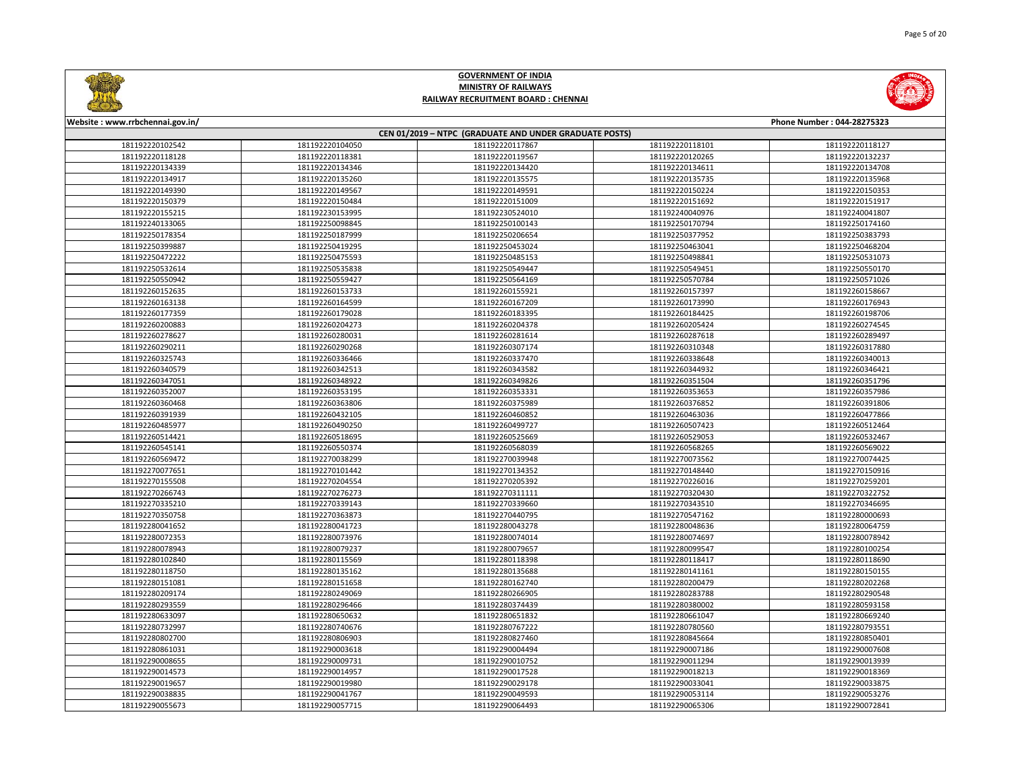

|                 |                 | CEN 01/2019 - NTPC (GRADUATE AND UNDER GRADUATE POSTS) |                 |                 |
|-----------------|-----------------|--------------------------------------------------------|-----------------|-----------------|
| 181192220102542 | 181192220104050 | 181192220117867                                        | 181192220118101 | 181192220118127 |
| 181192220118128 | 181192220118381 | 181192220119567                                        | 181192220120265 | 181192220132237 |
| 181192220134339 | 181192220134346 | 181192220134420                                        | 181192220134611 | 181192220134708 |
| 181192220134917 | 181192220135260 | 181192220135575                                        | 181192220135735 | 181192220135968 |
| 181192220149390 | 181192220149567 | 181192220149591                                        | 181192220150224 | 181192220150353 |
| 181192220150379 | 181192220150484 | 181192220151009                                        | 181192220151692 | 181192220151917 |
| 181192220155215 | 181192230153995 | 181192230524010                                        | 181192240040976 | 181192240041807 |
| 181192240133065 | 181192250098845 | 181192250100143                                        | 181192250170794 | 181192250174160 |
| 181192250178354 | 181192250187999 | 181192250206654                                        | 181192250377952 | 181192250383793 |
| 181192250399887 | 181192250419295 | 181192250453024                                        | 181192250463041 | 181192250468204 |
| 181192250472222 | 181192250475593 | 181192250485153                                        | 181192250498841 | 181192250531073 |
| 181192250532614 | 181192250535838 | 181192250549447                                        | 181192250549451 | 181192250550170 |
| 181192250550942 | 181192250559427 | 181192250564169                                        | 181192250570784 | 181192250571026 |
| 181192260152635 | 181192260153733 | 181192260155921                                        | 181192260157397 | 181192260158667 |
| 181192260163138 | 181192260164599 | 181192260167209                                        | 181192260173990 | 181192260176943 |
| 181192260177359 | 181192260179028 | 181192260183395                                        | 181192260184425 | 181192260198706 |
| 181192260200883 | 181192260204273 | 181192260204378                                        | 181192260205424 | 181192260274545 |
| 181192260278627 | 181192260280031 | 181192260281614                                        | 181192260287618 | 181192260289497 |
| 181192260290211 | 181192260290268 | 181192260307174                                        | 181192260310348 | 181192260317880 |
| 181192260325743 | 181192260336466 | 181192260337470                                        | 181192260338648 | 181192260340013 |
| 181192260340579 | 181192260342513 | 181192260343582                                        | 181192260344932 | 181192260346421 |
| 181192260347051 | 181192260348922 | 181192260349826                                        | 181192260351504 | 181192260351796 |
| 181192260352007 | 181192260353195 | 181192260353331                                        | 181192260353653 | 181192260357986 |
| 181192260360468 | 181192260363806 | 181192260375989                                        | 181192260376852 | 181192260391806 |
| 181192260391939 | 181192260432105 | 181192260460852                                        | 181192260463036 | 181192260477866 |
| 181192260485977 | 181192260490250 | 181192260499727                                        | 181192260507423 | 181192260512464 |
| 181192260514421 | 181192260518695 | 181192260525669                                        | 181192260529053 | 181192260532467 |
| 181192260545141 | 181192260550374 | 181192260568039                                        | 181192260568265 | 181192260569022 |
| 181192260569472 | 181192270038299 | 181192270039948                                        | 181192270073562 | 181192270074425 |
| 181192270077651 | 181192270101442 | 181192270134352                                        | 181192270148440 | 181192270150916 |
| 181192270155508 | 181192270204554 | 181192270205392                                        | 181192270226016 | 181192270259201 |
| 181192270266743 | 181192270276273 | 181192270311111                                        | 181192270320430 | 181192270322752 |
| 181192270335210 | 181192270339143 | 181192270339660                                        | 181192270343510 | 181192270346695 |
| 181192270350758 | 181192270363873 | 181192270440795                                        | 181192270547162 | 181192280000693 |
| 181192280041652 | 181192280041723 | 181192280043278                                        | 181192280048636 | 181192280064759 |
| 181192280072353 | 181192280073976 | 181192280074014                                        | 181192280074697 | 181192280078942 |
| 181192280078943 | 181192280079237 | 181192280079657                                        | 181192280099547 | 181192280100254 |
| 181192280102840 | 181192280115569 | 181192280118398                                        | 181192280118417 | 181192280118690 |
| 181192280118750 | 181192280135162 | 181192280135688                                        | 181192280141161 | 181192280150155 |
| 181192280151081 | 181192280151658 | 181192280162740                                        | 181192280200479 | 181192280202268 |
| 181192280209174 | 181192280249069 | 181192280266905                                        | 181192280283788 | 181192280290548 |
| 181192280293559 | 181192280296466 | 181192280374439                                        | 181192280380002 | 181192280593158 |
| 181192280633097 | 181192280650632 | 181192280651832                                        | 181192280661047 | 181192280669240 |
| 181192280732997 | 181192280740676 | 181192280767222                                        | 181192280780560 | 181192280793551 |
| 181192280802700 | 181192280806903 | 181192280827460                                        | 181192280845664 | 181192280850401 |
| 181192280861031 | 181192290003618 | 181192290004494                                        | 181192290007186 | 181192290007608 |
| 181192290008655 | 181192290009731 | 181192290010752                                        | 181192290011294 | 181192290013939 |
| 181192290014573 | 181192290014957 | 181192290017528                                        | 181192290018213 | 181192290018369 |
| 181192290019657 | 181192290019980 | 181192290029178                                        | 181192290033041 | 181192290033875 |
| 181192290038835 | 181192290041767 | 181192290049593                                        | 181192290053114 | 181192290053276 |
| 181192290055673 | 181192290057715 | 181192290064493                                        | 181192290065306 | 181192290072841 |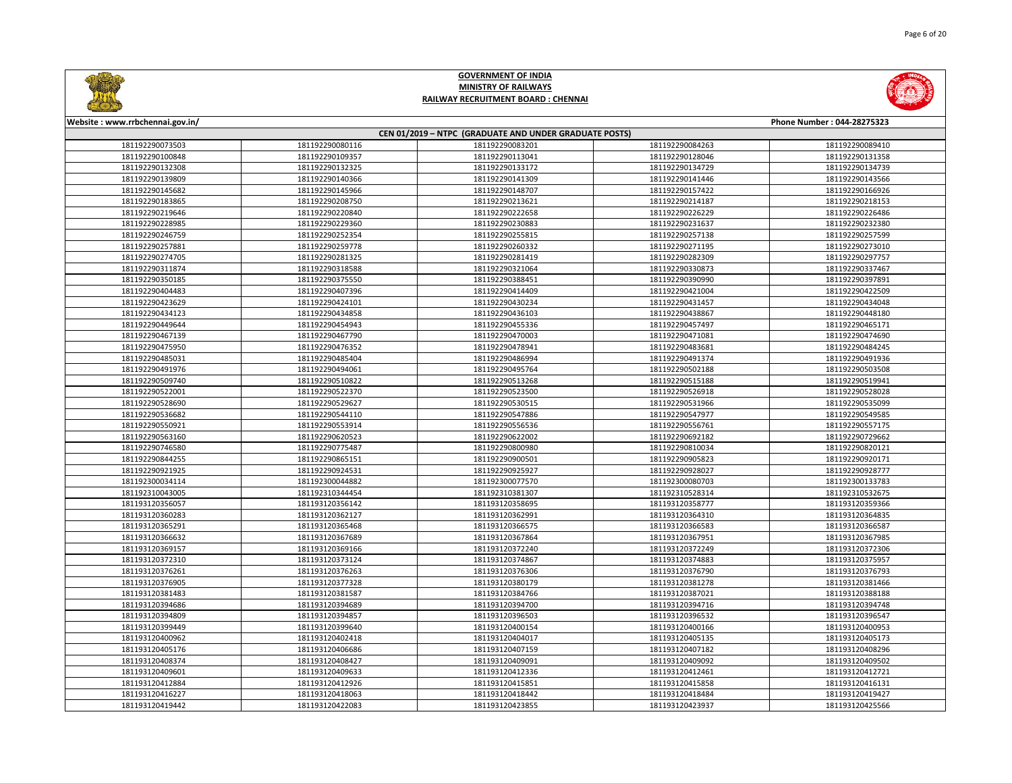

| CEN 01/2019 - NTPC (GRADUATE AND UNDER GRADUATE POSTS) |                 |                 |                 |                 |  |
|--------------------------------------------------------|-----------------|-----------------|-----------------|-----------------|--|
| 181192290073503                                        | 181192290080116 | 181192290083201 | 181192290084263 | 181192290089410 |  |
| 181192290100848                                        | 181192290109357 | 181192290113041 | 181192290128046 | 181192290131358 |  |
| 181192290132308                                        | 181192290132325 | 181192290133172 | 181192290134729 | 181192290134739 |  |
| 181192290139809                                        | 181192290140366 | 181192290141309 | 181192290141446 | 181192290143566 |  |
| 181192290145682                                        | 181192290145966 | 181192290148707 | 181192290157422 | 181192290166926 |  |
| 181192290183865                                        | 181192290208750 | 181192290213621 | 181192290214187 | 181192290218153 |  |
| 181192290219646                                        | 181192290220840 | 181192290222658 | 181192290226229 | 181192290226486 |  |
| 181192290228985                                        | 181192290229360 | 181192290230883 | 181192290231637 | 181192290232380 |  |
| 181192290246759                                        | 181192290252354 | 181192290255815 | 181192290257138 | 181192290257599 |  |
| 181192290257881                                        | 181192290259778 | 181192290260332 | 181192290271195 | 181192290273010 |  |
| 181192290274705                                        | 181192290281325 | 181192290281419 | 181192290282309 | 181192290297757 |  |
| 181192290311874                                        | 181192290318588 | 181192290321064 | 181192290330873 | 181192290337467 |  |
| 181192290350185                                        | 181192290375550 | 181192290388451 | 181192290390990 | 181192290397891 |  |
| 181192290404483                                        | 181192290407396 | 181192290414409 | 181192290421004 | 181192290422509 |  |
| 181192290423629                                        | 181192290424101 | 181192290430234 | 181192290431457 | 181192290434048 |  |
| 181192290434123                                        | 181192290434858 | 181192290436103 | 181192290438867 | 181192290448180 |  |
| 181192290449644                                        | 181192290454943 | 181192290455336 | 181192290457497 | 181192290465171 |  |
| 181192290467139                                        | 181192290467790 | 181192290470003 | 181192290471081 | 181192290474690 |  |
| 181192290475950                                        | 181192290476352 | 181192290478941 | 181192290483681 | 181192290484245 |  |
| 181192290485031                                        | 181192290485404 | 181192290486994 | 181192290491374 | 181192290491936 |  |
| 181192290491976                                        | 181192290494061 | 181192290495764 | 181192290502188 | 181192290503508 |  |
| 181192290509740                                        | 181192290510822 | 181192290513268 | 181192290515188 | 181192290519941 |  |
| 181192290522001                                        | 181192290522370 | 181192290523500 | 181192290526918 | 181192290528028 |  |
| 181192290528690                                        | 181192290529627 | 181192290530515 | 181192290531966 | 181192290535099 |  |
| 181192290536682                                        | 181192290544110 | 181192290547886 | 181192290547977 | 181192290549585 |  |
| 181192290550921                                        | 181192290553914 | 181192290556536 | 181192290556761 | 181192290557175 |  |
| 181192290563160                                        | 181192290620523 | 181192290622002 | 181192290692182 | 181192290729662 |  |
| 181192290746580                                        | 181192290775487 | 181192290800980 | 181192290810034 | 181192290820121 |  |
| 181192290844255                                        | 181192290865151 | 181192290900501 | 181192290905823 | 181192290920171 |  |
| 181192290921925                                        | 181192290924531 | 181192290925927 | 181192290928027 | 181192290928777 |  |
| 181192300034114                                        | 181192300044882 | 181192300077570 | 181192300080703 | 181192300133783 |  |
| 181192310043005                                        | 181192310344454 | 181192310381307 | 181192310528314 | 181192310532675 |  |
| 181193120356057                                        | 181193120356142 | 181193120358695 | 181193120358777 | 181193120359366 |  |
| 181193120360283                                        | 181193120362127 | 181193120362991 | 181193120364310 | 181193120364835 |  |
| 181193120365291                                        | 181193120365468 | 181193120366575 | 181193120366583 | 181193120366587 |  |
| 181193120366632                                        | 181193120367689 | 181193120367864 | 181193120367951 | 181193120367985 |  |
| 181193120369157                                        | 181193120369166 | 181193120372240 | 181193120372249 | 181193120372306 |  |
| 181193120372310                                        | 181193120373124 | 181193120374867 | 181193120374883 | 181193120375957 |  |
| 181193120376261                                        | 181193120376263 | 181193120376306 | 181193120376790 | 181193120376793 |  |
| 181193120376905                                        | 181193120377328 | 181193120380179 | 181193120381278 | 181193120381466 |  |
| 181193120381483                                        | 181193120381587 | 181193120384766 | 181193120387021 | 181193120388188 |  |
| 181193120394686                                        | 181193120394689 | 181193120394700 | 181193120394716 | 181193120394748 |  |
| 181193120394809                                        | 181193120394857 | 181193120396503 | 181193120396532 | 181193120396547 |  |
| 181193120399449                                        | 181193120399640 | 181193120400154 | 181193120400166 | 181193120400953 |  |
| 181193120400962                                        | 181193120402418 | 181193120404017 | 181193120405135 | 181193120405173 |  |
| 181193120405176                                        | 181193120406686 | 181193120407159 | 181193120407182 | 181193120408296 |  |
| 181193120408374                                        | 181193120408427 | 181193120409091 | 181193120409092 | 181193120409502 |  |
| 181193120409601                                        | 181193120409633 | 181193120412336 | 181193120412461 | 181193120412721 |  |
| 181193120412884                                        | 181193120412926 | 181193120415851 | 181193120415858 | 181193120416131 |  |
| 181193120416227                                        | 181193120418063 | 181193120418442 | 181193120418484 | 181193120419427 |  |
| 181193120419442                                        | 181193120422083 | 181193120423855 | 181193120423937 | 181193120425566 |  |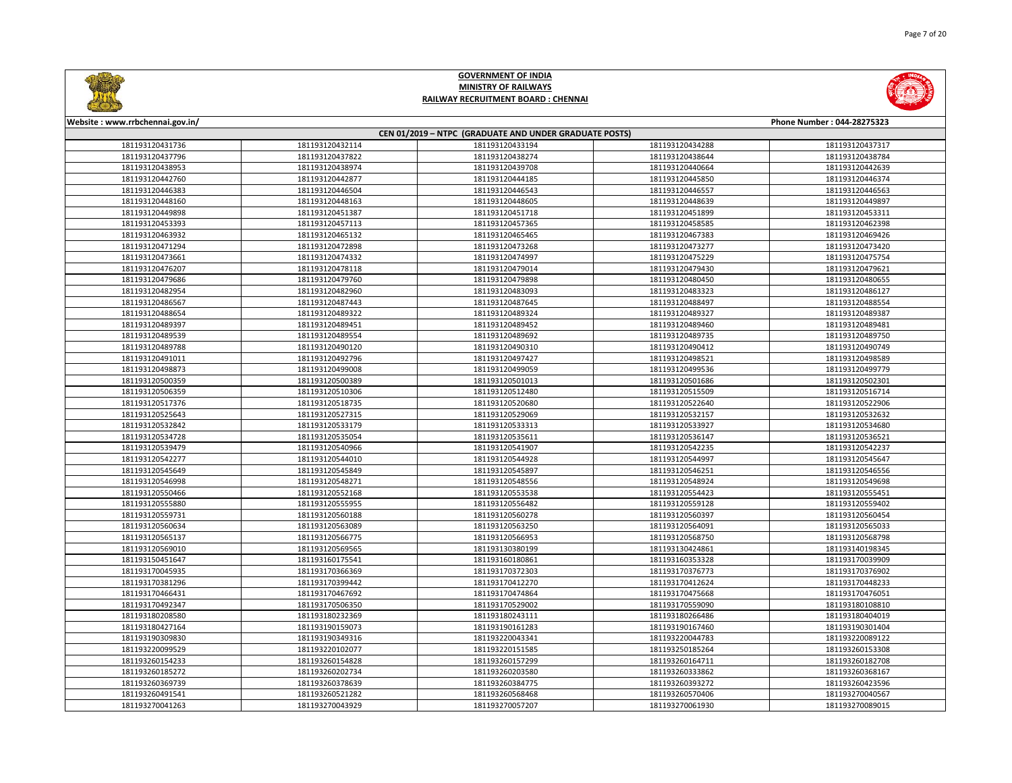

|                 |                 | CEN 01/2019 - NTPC (GRADUATE AND UNDER GRADUATE POSTS) |                 |                 |
|-----------------|-----------------|--------------------------------------------------------|-----------------|-----------------|
| 181193120431736 | 181193120432114 | 181193120433194                                        | 181193120434288 | 181193120437317 |
| 181193120437796 | 181193120437822 | 181193120438274                                        | 181193120438644 | 181193120438784 |
| 181193120438953 | 181193120438974 | 181193120439708                                        | 181193120440664 | 181193120442639 |
| 181193120442760 | 181193120442877 | 181193120444185                                        | 181193120445850 | 181193120446374 |
| 181193120446383 | 181193120446504 | 181193120446543                                        | 181193120446557 | 181193120446563 |
| 181193120448160 | 181193120448163 | 181193120448605                                        | 181193120448639 | 181193120449897 |
| 181193120449898 | 181193120451387 | 181193120451718                                        | 181193120451899 | 181193120453311 |
| 181193120453393 | 181193120457113 | 181193120457365                                        | 181193120458585 | 181193120462398 |
| 181193120463932 | 181193120465132 | 181193120465465                                        | 181193120467383 | 181193120469426 |
| 181193120471294 | 181193120472898 | 181193120473268                                        | 181193120473277 | 181193120473420 |
| 181193120473661 | 181193120474332 | 181193120474997                                        | 181193120475229 | 181193120475754 |
| 181193120476207 | 181193120478118 | 181193120479014                                        | 181193120479430 | 181193120479621 |
| 181193120479686 | 181193120479760 | 181193120479898                                        | 181193120480450 | 181193120480655 |
| 181193120482954 | 181193120482960 | 181193120483093                                        | 181193120483323 | 181193120486127 |
| 181193120486567 | 181193120487443 | 181193120487645                                        | 181193120488497 | 181193120488554 |
| 181193120488654 | 181193120489322 | 181193120489324                                        | 181193120489327 | 181193120489387 |
| 181193120489397 | 181193120489451 | 181193120489452                                        | 181193120489460 | 181193120489481 |
| 181193120489539 | 181193120489554 | 181193120489692                                        | 181193120489735 | 181193120489750 |
| 181193120489788 | 181193120490120 | 181193120490310                                        | 181193120490412 | 181193120490749 |
| 181193120491011 | 181193120492796 | 181193120497427                                        | 181193120498521 | 181193120498589 |
| 181193120498873 | 181193120499008 | 181193120499059                                        | 181193120499536 | 181193120499779 |
| 181193120500359 | 181193120500389 | 181193120501013                                        | 181193120501686 | 181193120502301 |
| 181193120506359 | 181193120510306 | 181193120512480                                        | 181193120515509 | 181193120516714 |
| 181193120517376 | 181193120518735 | 181193120520680                                        | 181193120522640 | 181193120522906 |
| 181193120525643 | 181193120527315 | 181193120529069                                        | 181193120532157 | 181193120532632 |
| 181193120532842 | 181193120533179 | 181193120533313                                        | 181193120533927 | 181193120534680 |
| 181193120534728 | 181193120535054 | 181193120535611                                        | 181193120536147 | 181193120536521 |
| 181193120539479 | 181193120540966 | 181193120541907                                        | 181193120542235 | 181193120542237 |
| 181193120542277 | 181193120544010 | 181193120544928                                        | 181193120544997 | 181193120545647 |
| 181193120545649 | 181193120545849 | 181193120545897                                        | 181193120546251 | 181193120546556 |
| 181193120546998 | 181193120548271 | 181193120548556                                        | 181193120548924 | 181193120549698 |
| 181193120550466 | 181193120552168 | 181193120553538                                        | 181193120554423 | 181193120555451 |
| 181193120555880 | 181193120555955 | 181193120556482                                        | 181193120559128 | 181193120559402 |
| 181193120559731 | 181193120560188 | 181193120560278                                        | 181193120560397 | 181193120560454 |
| 181193120560634 | 181193120563089 | 181193120563250                                        | 181193120564091 | 181193120565033 |
| 181193120565137 | 181193120566775 | 181193120566953                                        | 181193120568750 | 181193120568798 |
| 181193120569010 | 181193120569565 | 181193130380199                                        | 181193130424861 | 181193140198345 |
| 181193150451647 | 181193160175541 | 181193160180861                                        | 181193160353328 | 181193170039909 |
| 181193170045935 | 181193170366369 | 181193170372303                                        | 181193170376773 | 181193170376902 |
| 181193170381296 | 181193170399442 | 181193170412270                                        | 181193170412624 | 181193170448233 |
| 181193170466431 | 181193170467692 | 181193170474864                                        | 181193170475668 | 181193170476051 |
| 181193170492347 | 181193170506350 | 181193170529002                                        | 181193170559090 | 181193180108810 |
| 181193180208580 | 181193180232369 | 181193180243111                                        | 181193180266486 | 181193180404019 |
| 181193180427164 | 181193190159073 | 181193190161283                                        | 181193190167460 | 181193190301404 |
| 181193190309830 | 181193190349316 | 181193220043341                                        | 181193220044783 | 181193220089122 |
| 181193220099529 | 181193220102077 | 181193220151585                                        | 181193250185264 | 181193260153308 |
| 181193260154233 | 181193260154828 | 181193260157299                                        | 181193260164711 | 181193260182708 |
| 181193260185272 | 181193260202734 | 181193260203580                                        | 181193260333862 | 181193260368167 |
| 181193260369739 | 181193260378639 | 181193260384775                                        | 181193260393272 | 181193260423596 |
| 181193260491541 | 181193260521282 | 181193260568468                                        | 181193260570406 | 181193270040567 |
| 181193270041263 | 181193270043929 | 181193270057207                                        | 181193270061930 | 181193270089015 |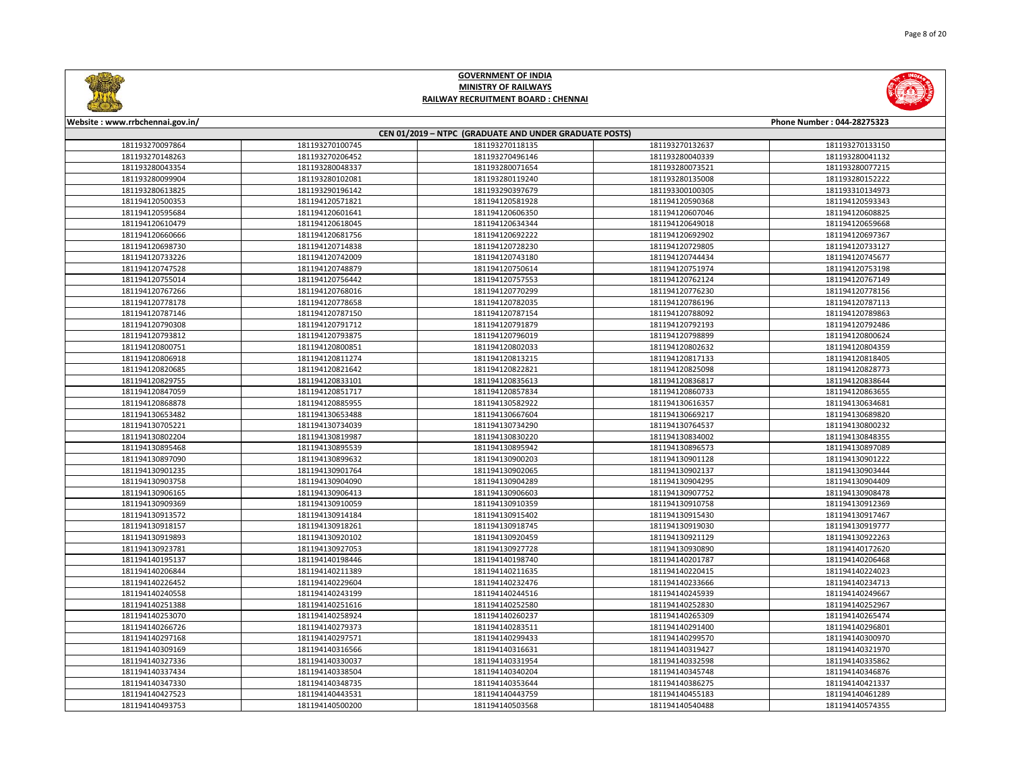

|                 | CEN 01/2019 - NTPC (GRADUATE AND UNDER GRADUATE POSTS) |                 |                 |                 |  |
|-----------------|--------------------------------------------------------|-----------------|-----------------|-----------------|--|
| 181193270097864 | 181193270100745                                        | 181193270118135 | 181193270132637 | 181193270133150 |  |
| 181193270148263 | 181193270206452                                        | 181193270496146 | 181193280040339 | 181193280041132 |  |
| 181193280043354 | 181193280048337                                        | 181193280071654 | 181193280073521 | 181193280077215 |  |
| 181193280099904 | 181193280102081                                        | 181193280119240 | 181193280135008 | 181193280152222 |  |
| 181193280613825 | 181193290196142                                        | 181193290397679 | 181193300100305 | 181193310134973 |  |
| 181194120500353 | 181194120571821                                        | 181194120581928 | 181194120590368 | 181194120593343 |  |
| 181194120595684 | 181194120601641                                        | 181194120606350 | 181194120607046 | 181194120608825 |  |
| 181194120610479 | 181194120618045                                        | 181194120634344 | 181194120649018 | 181194120659668 |  |
| 181194120660666 | 181194120681756                                        | 181194120692222 | 181194120692902 | 181194120697367 |  |
| 181194120698730 | 181194120714838                                        | 181194120728230 | 181194120729805 | 181194120733127 |  |
| 181194120733226 | 181194120742009                                        | 181194120743180 | 181194120744434 | 181194120745677 |  |
| 181194120747528 | 181194120748879                                        | 181194120750614 | 181194120751974 | 181194120753198 |  |
| 181194120755014 | 181194120756442                                        | 181194120757553 | 181194120762124 | 181194120767149 |  |
| 181194120767266 | 181194120768016                                        | 181194120770299 | 181194120776230 | 181194120778156 |  |
| 181194120778178 | 181194120778658                                        | 181194120782035 | 181194120786196 | 181194120787113 |  |
| 181194120787146 | 181194120787150                                        | 181194120787154 | 181194120788092 | 181194120789863 |  |
| 181194120790308 | 181194120791712                                        | 181194120791879 | 181194120792193 | 181194120792486 |  |
| 181194120793812 | 181194120793875                                        | 181194120796019 | 181194120798899 | 181194120800624 |  |
| 181194120800751 | 181194120800851                                        | 181194120802033 | 181194120802632 | 181194120804359 |  |
| 181194120806918 | 181194120811274                                        | 181194120813215 | 181194120817133 | 181194120818405 |  |
| 181194120820685 | 181194120821642                                        | 181194120822821 | 181194120825098 | 181194120828773 |  |
| 181194120829755 | 181194120833101                                        | 181194120835613 | 181194120836817 | 181194120838644 |  |
| 181194120847059 | 181194120851717                                        | 181194120857834 | 181194120860733 | 181194120863655 |  |
| 181194120868878 | 181194120885955                                        | 181194130582922 | 181194130616357 | 181194130634681 |  |
| 181194130653482 | 181194130653488                                        | 181194130667604 | 181194130669217 | 181194130689820 |  |
| 181194130705221 | 181194130734039                                        | 181194130734290 | 181194130764537 | 181194130800232 |  |
| 181194130802204 | 181194130819987                                        | 181194130830220 | 181194130834002 | 181194130848355 |  |
| 181194130895468 | 181194130895539                                        | 181194130895942 | 181194130896573 | 181194130897089 |  |
| 181194130897090 | 181194130899632                                        | 181194130900203 | 181194130901128 | 181194130901222 |  |
| 181194130901235 | 181194130901764                                        | 181194130902065 | 181194130902137 | 181194130903444 |  |
| 181194130903758 | 181194130904090                                        | 181194130904289 | 181194130904295 | 181194130904409 |  |
| 181194130906165 | 181194130906413                                        | 181194130906603 | 181194130907752 | 181194130908478 |  |
| 181194130909369 | 181194130910059                                        | 181194130910359 | 181194130910758 | 181194130912369 |  |
| 181194130913572 | 181194130914184                                        | 181194130915402 | 181194130915430 | 181194130917467 |  |
| 181194130918157 | 181194130918261                                        | 181194130918745 | 181194130919030 | 181194130919777 |  |
| 181194130919893 | 181194130920102                                        | 181194130920459 | 181194130921129 | 181194130922263 |  |
| 181194130923781 | 181194130927053                                        | 181194130927728 | 181194130930890 | 181194140172620 |  |
| 181194140195137 | 181194140198446                                        | 181194140198740 | 181194140201787 | 181194140206468 |  |
| 181194140206844 | 181194140211389                                        | 181194140211635 | 181194140220415 | 181194140224023 |  |
| 181194140226452 | 181194140229604                                        | 181194140232476 | 181194140233666 | 181194140234713 |  |
| 181194140240558 | 181194140243199                                        | 181194140244516 | 181194140245939 | 181194140249667 |  |
| 181194140251388 | 181194140251616                                        | 181194140252580 | 181194140252830 | 181194140252967 |  |
| 181194140253070 | 181194140258924                                        | 181194140260237 | 181194140265309 | 181194140265474 |  |
| 181194140266726 | 181194140279373                                        | 181194140283511 | 181194140291400 | 181194140296801 |  |
| 181194140297168 | 181194140297571                                        | 181194140299433 | 181194140299570 | 181194140300970 |  |
| 181194140309169 | 181194140316566                                        | 181194140316631 | 181194140319427 | 181194140321970 |  |
| 181194140327336 | 181194140330037                                        | 181194140331954 | 181194140332598 | 181194140335862 |  |
| 181194140337434 | 181194140338504                                        | 181194140340204 | 181194140345748 | 181194140346876 |  |
| 181194140347330 | 181194140348735                                        | 181194140353644 | 181194140386275 | 181194140421337 |  |
| 181194140427523 | 181194140443531                                        | 181194140443759 | 181194140455183 | 181194140461289 |  |
| 181194140493753 | 181194140500200                                        | 181194140503568 | 181194140540488 | 181194140574355 |  |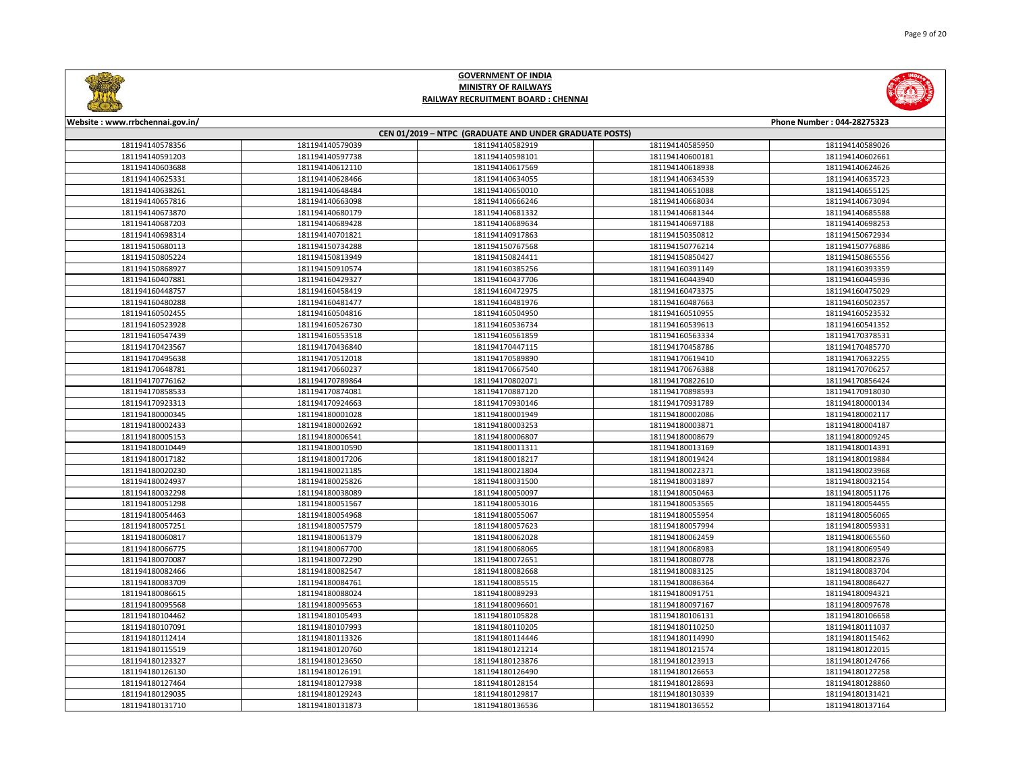

|                 | CEN 01/2019 - NTPC (GRADUATE AND UNDER GRADUATE POSTS) |                 |                 |                 |  |  |
|-----------------|--------------------------------------------------------|-----------------|-----------------|-----------------|--|--|
| 181194140578356 | 181194140579039                                        | 181194140582919 | 181194140585950 | 181194140589026 |  |  |
| 181194140591203 | 181194140597738                                        | 181194140598101 | 181194140600181 | 181194140602661 |  |  |
| 181194140603688 | 181194140612110                                        | 181194140617569 | 181194140618938 | 181194140624626 |  |  |
| 181194140625331 | 181194140628466                                        | 181194140634055 | 181194140634539 | 181194140635723 |  |  |
| 181194140638261 | 181194140648484                                        | 181194140650010 | 181194140651088 | 181194140655125 |  |  |
| 181194140657816 | 181194140663098                                        | 181194140666246 | 181194140668034 | 181194140673094 |  |  |
| 181194140673870 | 181194140680179                                        | 181194140681332 | 181194140681344 | 181194140685588 |  |  |
| 181194140687203 | 181194140689428                                        | 181194140689634 | 181194140697188 | 181194140698253 |  |  |
| 181194140698314 | 181194140701821                                        | 181194140917863 | 181194150350812 | 181194150672934 |  |  |
| 181194150680113 | 181194150734288                                        | 181194150767568 | 181194150776214 | 181194150776886 |  |  |
| 181194150805224 | 181194150813949                                        | 181194150824411 | 181194150850427 | 181194150865556 |  |  |
| 181194150868927 | 181194150910574                                        | 181194160385256 | 181194160391149 | 181194160393359 |  |  |
| 181194160407881 | 181194160429327                                        | 181194160437706 | 181194160443940 | 181194160445936 |  |  |
| 181194160448757 | 181194160458419                                        | 181194160472975 | 181194160473375 | 181194160475029 |  |  |
| 181194160480288 | 181194160481477                                        | 181194160481976 | 181194160487663 | 181194160502357 |  |  |
| 181194160502455 | 181194160504816                                        | 181194160504950 | 181194160510955 | 181194160523532 |  |  |
| 181194160523928 | 181194160526730                                        | 181194160536734 | 181194160539613 | 181194160541352 |  |  |
| 181194160547439 | 181194160553518                                        | 181194160561859 | 181194160563334 | 181194170378531 |  |  |
| 181194170423567 | 181194170436840                                        | 181194170447115 | 181194170458786 | 181194170485770 |  |  |
| 181194170495638 | 181194170512018                                        | 181194170589890 | 181194170619410 | 181194170632255 |  |  |
| 181194170648781 | 181194170660237                                        | 181194170667540 | 181194170676388 | 181194170706257 |  |  |
| 181194170776162 | 181194170789864                                        | 181194170802071 | 181194170822610 | 181194170856424 |  |  |
| 181194170858533 | 181194170874081                                        | 181194170887120 | 181194170898593 | 181194170918030 |  |  |
| 181194170923313 | 181194170924663                                        | 181194170930146 | 181194170931789 | 181194180000134 |  |  |
| 181194180000345 | 181194180001028                                        | 181194180001949 | 181194180002086 | 181194180002117 |  |  |
| 181194180002433 | 181194180002692                                        | 181194180003253 | 181194180003871 | 181194180004187 |  |  |
| 181194180005153 | 181194180006541                                        | 181194180006807 | 181194180008679 | 181194180009245 |  |  |
| 181194180010449 | 181194180010590                                        | 181194180011311 | 181194180013169 | 181194180014391 |  |  |
| 181194180017182 | 181194180017206                                        | 181194180018217 | 181194180019424 | 181194180019884 |  |  |
| 181194180020230 | 181194180021185                                        | 181194180021804 | 181194180022371 | 181194180023968 |  |  |
| 181194180024937 | 181194180025826                                        | 181194180031500 | 181194180031897 | 181194180032154 |  |  |
| 181194180032298 | 181194180038089                                        | 181194180050097 | 181194180050463 | 181194180051176 |  |  |
| 181194180051298 | 181194180051567                                        | 181194180053016 | 181194180053565 | 181194180054455 |  |  |
| 181194180054463 | 181194180054968                                        | 181194180055067 | 181194180055954 | 181194180056065 |  |  |
| 181194180057251 | 181194180057579                                        | 181194180057623 | 181194180057994 | 181194180059331 |  |  |
| 181194180060817 | 181194180061379                                        | 181194180062028 | 181194180062459 | 181194180065560 |  |  |
| 181194180066775 | 181194180067700                                        | 181194180068065 | 181194180068983 | 181194180069549 |  |  |
| 181194180070087 | 181194180072290                                        | 181194180072651 | 181194180080778 | 181194180082376 |  |  |
| 181194180082466 | 181194180082547                                        | 181194180082668 | 181194180083125 | 181194180083704 |  |  |
| 181194180083709 | 181194180084761                                        | 181194180085515 | 181194180086364 | 181194180086427 |  |  |
| 181194180086615 | 181194180088024                                        | 181194180089293 | 181194180091751 | 181194180094321 |  |  |
| 181194180095568 | 181194180095653                                        | 181194180096601 | 181194180097167 | 181194180097678 |  |  |
| 181194180104462 | 181194180105493                                        | 181194180105828 | 181194180106131 | 181194180106658 |  |  |
| 181194180107091 | 181194180107993                                        | 181194180110205 | 181194180110250 | 181194180111037 |  |  |
| 181194180112414 | 181194180113326                                        | 181194180114446 | 181194180114990 | 181194180115462 |  |  |
| 181194180115519 | 181194180120760                                        | 181194180121214 | 181194180121574 | 181194180122015 |  |  |
| 181194180123327 | 181194180123650                                        | 181194180123876 | 181194180123913 | 181194180124766 |  |  |
| 181194180126130 | 181194180126191                                        | 181194180126490 | 181194180126653 | 181194180127258 |  |  |
| 181194180127464 | 181194180127938                                        | 181194180128154 | 181194180128693 | 181194180128860 |  |  |
| 181194180129035 | 181194180129243                                        | 181194180129817 | 181194180130339 | 181194180131421 |  |  |
| 181194180131710 | 181194180131873                                        | 181194180136536 | 181194180136552 | 181194180137164 |  |  |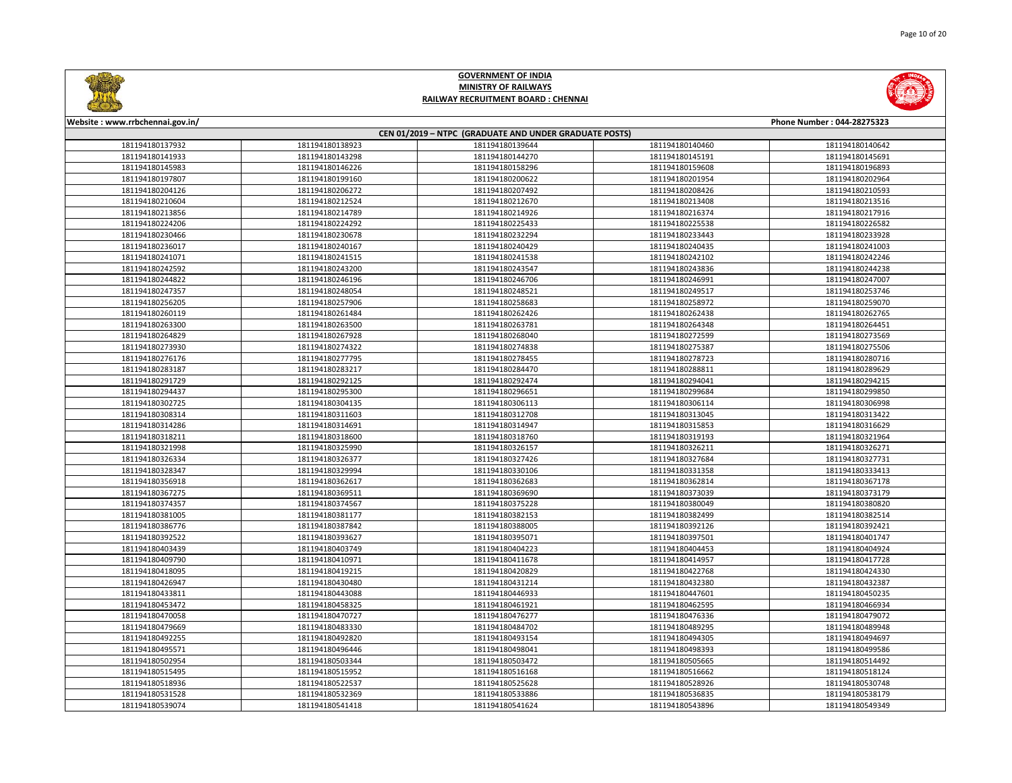

|                 | CEN 01/2019 - NTPC (GRADUATE AND UNDER GRADUATE POSTS) |                 |                 |                 |  |  |
|-----------------|--------------------------------------------------------|-----------------|-----------------|-----------------|--|--|
| 181194180137932 | 181194180138923                                        | 181194180139644 | 181194180140460 | 181194180140642 |  |  |
| 181194180141933 | 181194180143298                                        | 181194180144270 | 181194180145191 | 181194180145691 |  |  |
| 181194180145983 | 181194180146226                                        | 181194180158296 | 181194180159608 | 181194180196893 |  |  |
| 181194180197807 | 181194180199160                                        | 181194180200622 | 181194180201954 | 181194180202964 |  |  |
| 181194180204126 | 181194180206272                                        | 181194180207492 | 181194180208426 | 181194180210593 |  |  |
| 181194180210604 | 181194180212524                                        | 181194180212670 | 181194180213408 | 181194180213516 |  |  |
| 181194180213856 | 181194180214789                                        | 181194180214926 | 181194180216374 | 181194180217916 |  |  |
| 181194180224206 | 181194180224292                                        | 181194180225433 | 181194180225538 | 181194180226582 |  |  |
| 181194180230466 | 181194180230678                                        | 181194180232294 | 181194180233443 | 181194180233928 |  |  |
| 181194180236017 | 181194180240167                                        | 181194180240429 | 181194180240435 | 181194180241003 |  |  |
| 181194180241071 | 181194180241515                                        | 181194180241538 | 181194180242102 | 181194180242246 |  |  |
| 181194180242592 | 181194180243200                                        | 181194180243547 | 181194180243836 | 181194180244238 |  |  |
| 181194180244822 | 181194180246196                                        | 181194180246706 | 181194180246991 | 181194180247007 |  |  |
| 181194180247357 | 181194180248054                                        | 181194180248521 | 181194180249517 | 181194180253746 |  |  |
| 181194180256205 | 181194180257906                                        | 181194180258683 | 181194180258972 | 181194180259070 |  |  |
| 181194180260119 | 181194180261484                                        | 181194180262426 | 181194180262438 | 181194180262765 |  |  |
| 181194180263300 | 181194180263500                                        | 181194180263781 | 181194180264348 | 181194180264451 |  |  |
| 181194180264829 | 181194180267928                                        | 181194180268040 | 181194180272599 | 181194180273569 |  |  |
| 181194180273930 | 181194180274322                                        | 181194180274838 | 181194180275387 | 181194180275506 |  |  |
| 181194180276176 | 181194180277795                                        | 181194180278455 | 181194180278723 | 181194180280716 |  |  |
| 181194180283187 | 181194180283217                                        | 181194180284470 | 181194180288811 | 181194180289629 |  |  |
| 181194180291729 | 181194180292125                                        | 181194180292474 | 181194180294041 | 181194180294215 |  |  |
| 181194180294437 | 181194180295300                                        | 181194180296651 | 181194180299684 | 181194180299850 |  |  |
| 181194180302725 | 181194180304135                                        | 181194180306113 | 181194180306114 | 181194180306998 |  |  |
| 181194180308314 | 181194180311603                                        | 181194180312708 | 181194180313045 | 181194180313422 |  |  |
| 181194180314286 | 181194180314691                                        | 181194180314947 | 181194180315853 | 181194180316629 |  |  |
| 181194180318211 | 181194180318600                                        | 181194180318760 | 181194180319193 | 181194180321964 |  |  |
| 181194180321998 | 181194180325990                                        | 181194180326157 | 181194180326211 | 181194180326271 |  |  |
| 181194180326334 | 181194180326377                                        | 181194180327426 | 181194180327684 | 181194180327731 |  |  |
| 181194180328347 | 181194180329994                                        | 181194180330106 | 181194180331358 | 181194180333413 |  |  |
| 181194180356918 | 181194180362617                                        | 181194180362683 | 181194180362814 | 181194180367178 |  |  |
| 181194180367275 | 181194180369511                                        | 181194180369690 | 181194180373039 | 181194180373179 |  |  |
| 181194180374357 | 181194180374567                                        | 181194180375228 | 181194180380049 | 181194180380820 |  |  |
| 181194180381005 | 181194180381177                                        | 181194180382153 | 181194180382499 | 181194180382514 |  |  |
| 181194180386776 | 181194180387842                                        | 181194180388005 | 181194180392126 | 181194180392421 |  |  |
| 181194180392522 | 181194180393627                                        | 181194180395071 | 181194180397501 | 181194180401747 |  |  |
| 181194180403439 | 181194180403749                                        | 181194180404223 | 181194180404453 | 181194180404924 |  |  |
| 181194180409790 | 181194180410971                                        | 181194180411678 | 181194180414957 | 181194180417728 |  |  |
| 181194180418095 | 181194180419215                                        | 181194180420829 | 181194180422768 | 181194180424330 |  |  |
| 181194180426947 | 181194180430480                                        | 181194180431214 | 181194180432380 | 181194180432387 |  |  |
| 181194180433811 | 181194180443088                                        | 181194180446933 | 181194180447601 | 181194180450235 |  |  |
| 181194180453472 | 181194180458325                                        | 181194180461921 | 181194180462595 | 181194180466934 |  |  |
| 181194180470058 | 181194180470727                                        | 181194180476277 | 181194180476336 | 181194180479072 |  |  |
| 181194180479669 | 181194180483330                                        | 181194180484702 | 181194180489295 | 181194180489948 |  |  |
| 181194180492255 | 181194180492820                                        | 181194180493154 | 181194180494305 | 181194180494697 |  |  |
| 181194180495571 | 181194180496446                                        | 181194180498041 | 181194180498393 | 181194180499586 |  |  |
| 181194180502954 | 181194180503344                                        | 181194180503472 | 181194180505665 | 181194180514492 |  |  |
| 181194180515495 | 181194180515952                                        | 181194180516168 | 181194180516662 | 181194180518124 |  |  |
| 181194180518936 | 181194180522537                                        | 181194180525628 | 181194180528926 | 181194180530748 |  |  |
| 181194180531528 | 181194180532369                                        | 181194180533886 | 181194180536835 | 181194180538179 |  |  |
| 181194180539074 | 181194180541418                                        | 181194180541624 | 181194180543896 | 181194180549349 |  |  |

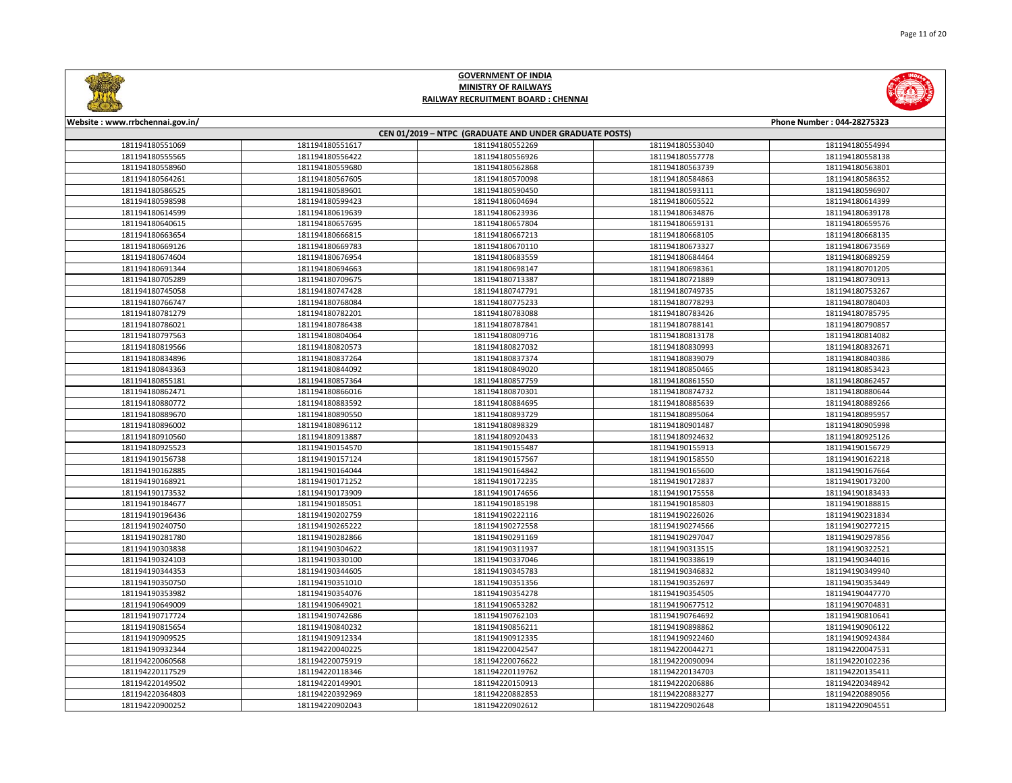

|                 | CEN 01/2019 - NTPC (GRADUATE AND UNDER GRADUATE POSTS) |                 |                 |                 |  |  |
|-----------------|--------------------------------------------------------|-----------------|-----------------|-----------------|--|--|
| 181194180551069 | 181194180551617                                        | 181194180552269 | 181194180553040 | 181194180554994 |  |  |
| 181194180555565 | 181194180556422                                        | 181194180556926 | 181194180557778 | 181194180558138 |  |  |
| 181194180558960 | 181194180559680                                        | 181194180562868 | 181194180563739 | 181194180563801 |  |  |
| 181194180564261 | 181194180567605                                        | 181194180570098 | 181194180584863 | 181194180586352 |  |  |
| 181194180586525 | 181194180589601                                        | 181194180590450 | 181194180593111 | 181194180596907 |  |  |
| 181194180598598 | 181194180599423                                        | 181194180604694 | 181194180605522 | 181194180614399 |  |  |
| 181194180614599 | 181194180619639                                        | 181194180623936 | 181194180634876 | 181194180639178 |  |  |
| 181194180640615 | 181194180657695                                        | 181194180657804 | 181194180659131 | 181194180659576 |  |  |
| 181194180663654 | 181194180666815                                        | 181194180667213 | 181194180668105 | 181194180668135 |  |  |
| 181194180669126 | 181194180669783                                        | 181194180670110 | 181194180673327 | 181194180673569 |  |  |
| 181194180674604 | 181194180676954                                        | 181194180683559 | 181194180684464 | 181194180689259 |  |  |
| 181194180691344 | 181194180694663                                        | 181194180698147 | 181194180698361 | 181194180701205 |  |  |
| 181194180705289 | 181194180709675                                        | 181194180713387 | 181194180721889 | 181194180730913 |  |  |
| 181194180745058 | 181194180747428                                        | 181194180747791 | 181194180749735 | 181194180753267 |  |  |
| 181194180766747 | 181194180768084                                        | 181194180775233 | 181194180778293 | 181194180780403 |  |  |
| 181194180781279 | 181194180782201                                        | 181194180783088 | 181194180783426 | 181194180785795 |  |  |
| 181194180786021 | 181194180786438                                        | 181194180787841 | 181194180788141 | 181194180790857 |  |  |
| 181194180797563 | 181194180804064                                        | 181194180809716 | 181194180813178 | 181194180814082 |  |  |
| 181194180819566 | 181194180820573                                        | 181194180827032 | 181194180830993 | 181194180832671 |  |  |
| 181194180834896 | 181194180837264                                        | 181194180837374 | 181194180839079 | 181194180840386 |  |  |
| 181194180843363 | 181194180844092                                        | 181194180849020 | 181194180850465 | 181194180853423 |  |  |
| 181194180855181 | 181194180857364                                        | 181194180857759 | 181194180861550 | 181194180862457 |  |  |
| 181194180862471 | 181194180866016                                        | 181194180870301 | 181194180874732 | 181194180880644 |  |  |
| 181194180880772 | 181194180883592                                        | 181194180884695 | 181194180885639 | 181194180889266 |  |  |
| 181194180889670 | 181194180890550                                        | 181194180893729 | 181194180895064 | 181194180895957 |  |  |
| 181194180896002 | 181194180896112                                        | 181194180898329 | 181194180901487 | 181194180905998 |  |  |
| 181194180910560 | 181194180913887                                        | 181194180920433 | 181194180924632 | 181194180925126 |  |  |
| 181194180925523 | 181194190154570                                        | 181194190155487 | 181194190155913 | 181194190156729 |  |  |
| 181194190156738 | 181194190157124                                        | 181194190157567 | 181194190158550 | 181194190162218 |  |  |
| 181194190162885 | 181194190164044                                        | 181194190164842 | 181194190165600 | 181194190167664 |  |  |
| 181194190168921 | 181194190171252                                        | 181194190172235 | 181194190172837 | 181194190173200 |  |  |
| 181194190173532 | 181194190173909                                        | 181194190174656 | 181194190175558 | 181194190183433 |  |  |
| 181194190184677 | 181194190185051                                        | 181194190185198 | 181194190185803 | 181194190188815 |  |  |
| 181194190196436 | 181194190202759                                        | 181194190222116 | 181194190226026 | 181194190231834 |  |  |
| 181194190240750 | 181194190265222                                        | 181194190272558 | 181194190274566 | 181194190277215 |  |  |
| 181194190281780 | 181194190282866                                        | 181194190291169 | 181194190297047 | 181194190297856 |  |  |
| 181194190303838 | 181194190304622                                        | 181194190311937 | 181194190313515 | 181194190322521 |  |  |
| 181194190324103 | 181194190330100                                        | 181194190337046 | 181194190338619 | 181194190344016 |  |  |
| 181194190344353 | 181194190344605                                        | 181194190345783 | 181194190346832 | 181194190349940 |  |  |
| 181194190350750 | 181194190351010                                        | 181194190351356 | 181194190352697 | 181194190353449 |  |  |
| 181194190353982 | 181194190354076                                        | 181194190354278 | 181194190354505 | 181194190447770 |  |  |
| 181194190649009 | 181194190649021                                        | 181194190653282 | 181194190677512 | 181194190704831 |  |  |
| 181194190717724 | 181194190742686                                        | 181194190762103 | 181194190764692 | 181194190810641 |  |  |
| 181194190815654 | 181194190840232                                        | 181194190856211 | 181194190898862 | 181194190906122 |  |  |
| 181194190909525 | 181194190912334                                        | 181194190912335 | 181194190922460 | 181194190924384 |  |  |
| 181194190932344 | 181194220040225                                        | 181194220042547 | 181194220044271 | 181194220047531 |  |  |
| 181194220060568 | 181194220075919                                        | 181194220076622 | 181194220090094 | 181194220102236 |  |  |
| 181194220117529 | 181194220118346                                        | 181194220119762 | 181194220134703 | 181194220135411 |  |  |
| 181194220149502 | 181194220149901                                        | 181194220150913 | 181194220206886 | 181194220348942 |  |  |
| 181194220364803 | 181194220392969                                        | 181194220882853 | 181194220883277 | 181194220889056 |  |  |
| 181194220900252 | 181194220902043                                        | 181194220902612 | 181194220902648 | 181194220904551 |  |  |

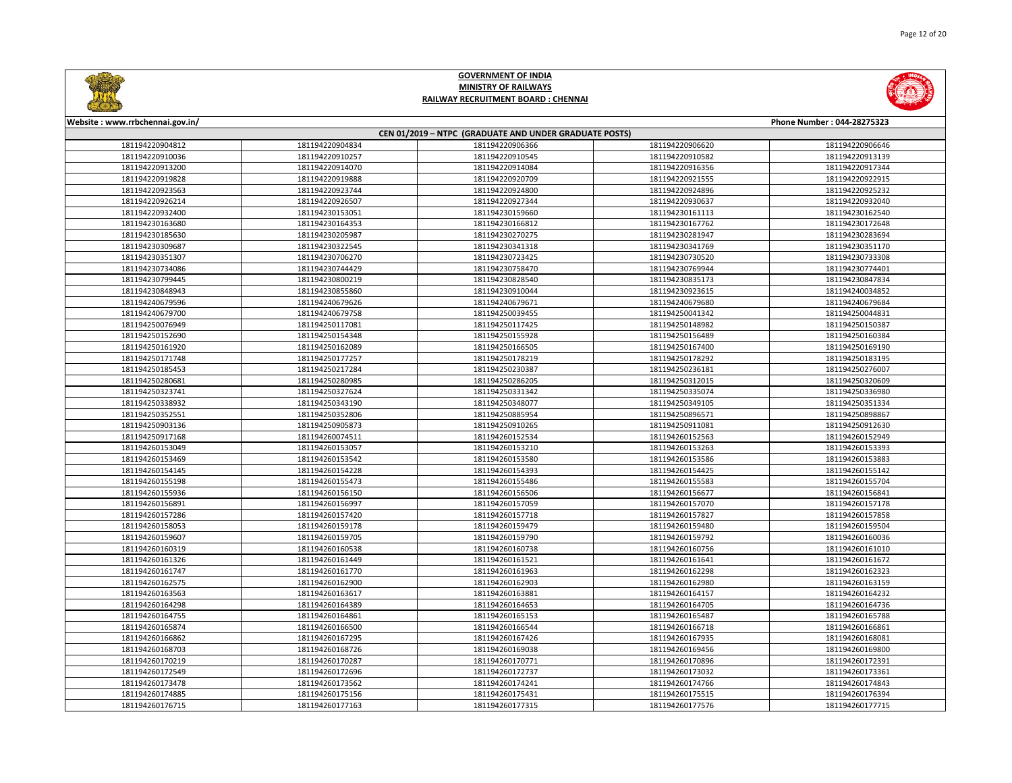

| CEN 01/2019 - NTPC (GRADUATE AND UNDER GRADUATE POSTS) |                 |                 |                 |                 |
|--------------------------------------------------------|-----------------|-----------------|-----------------|-----------------|
| 181194220904812                                        | 181194220904834 | 181194220906366 | 181194220906620 | 181194220906646 |
| 181194220910036                                        | 181194220910257 | 181194220910545 | 181194220910582 | 181194220913139 |
| 181194220913200                                        | 181194220914070 | 181194220914084 | 181194220916356 | 181194220917344 |
| 181194220919828                                        | 181194220919888 | 181194220920709 | 181194220921555 | 181194220922915 |
| 181194220923563                                        | 181194220923744 | 181194220924800 | 181194220924896 | 181194220925232 |
| 181194220926214                                        | 181194220926507 | 181194220927344 | 181194220930637 | 181194220932040 |
| 181194220932400                                        | 181194230153051 | 181194230159660 | 181194230161113 | 181194230162540 |
| 181194230163680                                        | 181194230164353 | 181194230166812 | 181194230167762 | 181194230172648 |
| 181194230185630                                        | 181194230205987 | 181194230270275 | 181194230281947 | 181194230283694 |
| 181194230309687                                        | 181194230322545 | 181194230341318 | 181194230341769 | 181194230351170 |
| 181194230351307                                        | 181194230706270 | 181194230723425 | 181194230730520 | 181194230733308 |
| 181194230734086                                        | 181194230744429 | 181194230758470 | 181194230769944 | 181194230774401 |
| 181194230799445                                        | 181194230800219 | 181194230828540 | 181194230835173 | 181194230847834 |
| 181194230848943                                        | 181194230855860 | 181194230910044 | 181194230923615 | 181194240034852 |
| 181194240679596                                        | 181194240679626 | 181194240679671 | 181194240679680 | 181194240679684 |
| 181194240679700                                        | 181194240679758 | 181194250039455 | 181194250041342 | 181194250044831 |
| 181194250076949                                        | 181194250117081 | 181194250117425 | 181194250148982 | 181194250150387 |
| 181194250152690                                        | 181194250154348 | 181194250155928 | 181194250156489 | 181194250160384 |
| 181194250161920                                        | 181194250162089 | 181194250166505 | 181194250167400 | 181194250169190 |
| 181194250171748                                        | 181194250177257 | 181194250178219 | 181194250178292 | 181194250183195 |
| 181194250185453                                        | 181194250217284 | 181194250230387 | 181194250236181 | 181194250276007 |
| 181194250280681                                        | 181194250280985 | 181194250286205 | 181194250312015 | 181194250320609 |
| 181194250323741                                        | 181194250327624 | 181194250331342 | 181194250335074 | 181194250336980 |
| 181194250338932                                        | 181194250343190 | 181194250348077 | 181194250349105 | 181194250351334 |
| 181194250352551                                        | 181194250352806 | 181194250885954 | 181194250896571 | 181194250898867 |
| 181194250903136                                        | 181194250905873 | 181194250910265 | 181194250911081 | 181194250912630 |
| 181194250917168                                        | 181194260074511 | 181194260152534 | 181194260152563 | 181194260152949 |
| 181194260153049                                        | 181194260153057 | 181194260153210 | 181194260153263 | 181194260153393 |
| 181194260153469                                        | 181194260153542 | 181194260153580 | 181194260153586 | 181194260153883 |
| 181194260154145                                        | 181194260154228 | 181194260154393 | 181194260154425 | 181194260155142 |
| 181194260155198                                        | 181194260155473 | 181194260155486 | 181194260155583 | 181194260155704 |
| 181194260155936                                        | 181194260156150 | 181194260156506 | 181194260156677 | 181194260156841 |
| 181194260156891                                        | 181194260156997 | 181194260157059 | 181194260157070 | 181194260157178 |
| 181194260157286                                        | 181194260157420 | 181194260157718 | 181194260157827 | 181194260157858 |
| 181194260158053                                        | 181194260159178 | 181194260159479 | 181194260159480 | 181194260159504 |
| 181194260159607                                        | 181194260159705 | 181194260159790 | 181194260159792 | 181194260160036 |
| 181194260160319                                        | 181194260160538 | 181194260160738 | 181194260160756 | 181194260161010 |
| 181194260161326                                        | 181194260161449 | 181194260161521 | 181194260161641 | 181194260161672 |
| 181194260161747                                        | 181194260161770 | 181194260161963 | 181194260162298 | 181194260162323 |
| 181194260162575                                        | 181194260162900 | 181194260162903 | 181194260162980 | 181194260163159 |
| 181194260163563                                        | 181194260163617 | 181194260163881 | 181194260164157 | 181194260164232 |
| 181194260164298                                        | 181194260164389 | 181194260164653 | 181194260164705 | 181194260164736 |
| 181194260164755                                        | 181194260164861 | 181194260165153 | 181194260165487 | 181194260165788 |
| 181194260165874                                        | 181194260166500 | 181194260166544 | 181194260166718 | 181194260166861 |
| 181194260166862                                        | 181194260167295 | 181194260167426 | 181194260167935 | 181194260168081 |
| 181194260168703                                        | 181194260168726 | 181194260169038 | 181194260169456 | 181194260169800 |
| 181194260170219                                        | 181194260170287 | 181194260170771 | 181194260170896 | 181194260172391 |
| 181194260172549                                        | 181194260172696 | 181194260172737 | 181194260173032 | 181194260173361 |
| 181194260173478                                        | 181194260173562 | 181194260174241 | 181194260174766 | 181194260174843 |
| 181194260174885                                        | 181194260175156 | 181194260175431 | 181194260175515 | 181194260176394 |
| 181194260176715                                        | 181194260177163 | 181194260177315 | 181194260177576 | 181194260177715 |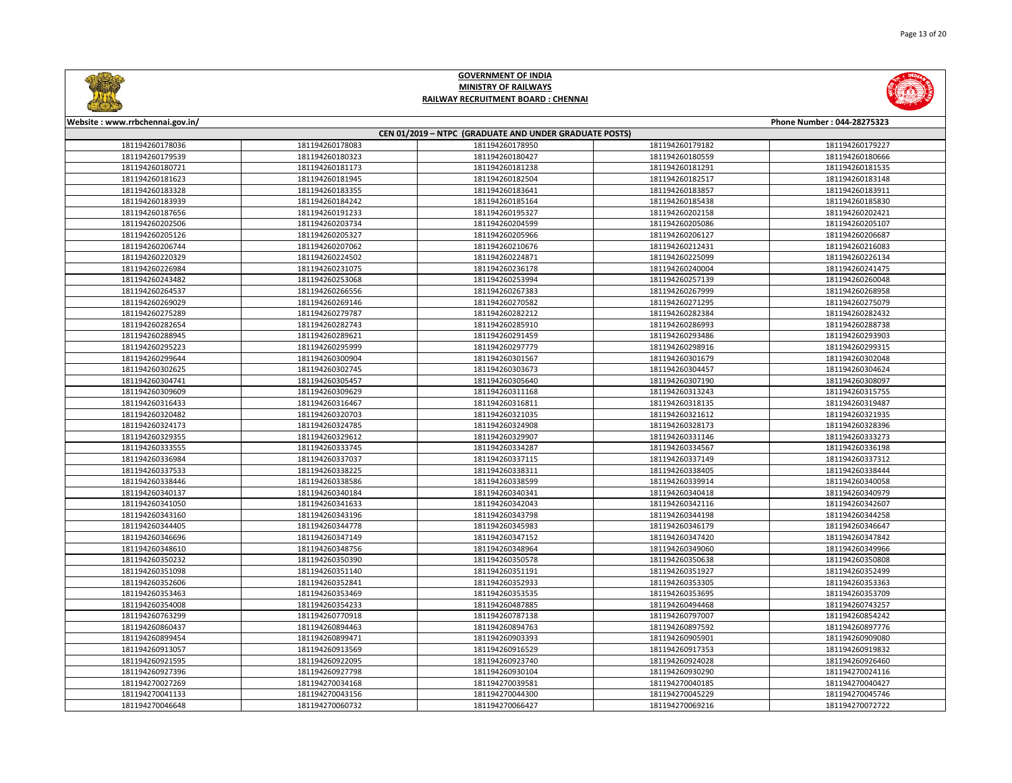

| CEN 01/2019 - NTPC (GRADUATE AND UNDER GRADUATE POSTS) |                 |                 |                 |                 |  |
|--------------------------------------------------------|-----------------|-----------------|-----------------|-----------------|--|
| 181194260178036                                        | 181194260178083 | 181194260178950 | 181194260179182 | 181194260179227 |  |
| 181194260179539                                        | 181194260180323 | 181194260180427 | 181194260180559 | 181194260180666 |  |
| 181194260180721                                        | 181194260181173 | 181194260181238 | 181194260181291 | 181194260181535 |  |
| 181194260181623                                        | 181194260181945 | 181194260182504 | 181194260182517 | 181194260183148 |  |
| 181194260183328                                        | 181194260183355 | 181194260183641 | 181194260183857 | 181194260183911 |  |
| 181194260183939                                        | 181194260184242 | 181194260185164 | 181194260185438 | 181194260185830 |  |
| 181194260187656                                        | 181194260191233 | 181194260195327 | 181194260202158 | 181194260202421 |  |
| 181194260202506                                        | 181194260203734 | 181194260204599 | 181194260205086 | 181194260205107 |  |
| 181194260205126                                        | 181194260205327 | 181194260205966 | 181194260206127 | 181194260206687 |  |
| 181194260206744                                        | 181194260207062 | 181194260210676 | 181194260212431 | 181194260216083 |  |
| 181194260220329                                        | 181194260224502 | 181194260224871 | 181194260225099 | 181194260226134 |  |
| 181194260226984                                        | 181194260231075 | 181194260236178 | 181194260240004 | 181194260241475 |  |
| 181194260243482                                        | 181194260253068 | 181194260253994 | 181194260257139 | 181194260260048 |  |
| 181194260264537                                        | 181194260266556 | 181194260267383 | 181194260267999 | 181194260268958 |  |
| 181194260269029                                        | 181194260269146 | 181194260270582 | 181194260271295 | 181194260275079 |  |
| 181194260275289                                        | 181194260279787 | 181194260282212 | 181194260282384 | 181194260282432 |  |
| 181194260282654                                        | 181194260282743 | 181194260285910 | 181194260286993 | 181194260288738 |  |
| 181194260288945                                        | 181194260289621 | 181194260291459 | 181194260293486 | 181194260293903 |  |
| 181194260295223                                        | 181194260295999 | 181194260297779 | 181194260298916 | 181194260299315 |  |
| 181194260299644                                        | 181194260300904 | 181194260301567 | 181194260301679 | 181194260302048 |  |
| 181194260302625                                        | 181194260302745 | 181194260303673 | 181194260304457 | 181194260304624 |  |
| 181194260304741                                        | 181194260305457 | 181194260305640 | 181194260307190 | 181194260308097 |  |
| 181194260309609                                        | 181194260309629 | 181194260311168 | 181194260313243 | 181194260315755 |  |
| 181194260316433                                        | 181194260316467 | 181194260316811 | 181194260318135 | 181194260319487 |  |
| 181194260320482                                        | 181194260320703 | 181194260321035 | 181194260321612 | 181194260321935 |  |
| 181194260324173                                        | 181194260324785 | 181194260324908 | 181194260328173 | 181194260328396 |  |
| 181194260329355                                        | 181194260329612 | 181194260329907 | 181194260331146 | 181194260333273 |  |
| 181194260333555                                        | 181194260333745 | 181194260334287 | 181194260334567 | 181194260336198 |  |
| 181194260336984                                        | 181194260337037 | 181194260337115 | 181194260337149 | 181194260337312 |  |
| 181194260337533                                        | 181194260338225 | 181194260338311 | 181194260338405 | 181194260338444 |  |
| 181194260338446                                        | 181194260338586 | 181194260338599 | 181194260339914 | 181194260340058 |  |
| 181194260340137                                        | 181194260340184 | 181194260340341 | 181194260340418 | 181194260340979 |  |
| 181194260341050                                        | 181194260341633 | 181194260342043 | 181194260342116 | 181194260342607 |  |
| 181194260343160                                        | 181194260343196 | 181194260343798 | 181194260344198 | 181194260344258 |  |
| 181194260344405                                        | 181194260344778 | 181194260345983 | 181194260346179 | 181194260346647 |  |
| 181194260346696                                        | 181194260347149 | 181194260347152 | 181194260347420 | 181194260347842 |  |
| 181194260348610                                        | 181194260348756 | 181194260348964 | 181194260349060 | 181194260349966 |  |
| 181194260350232                                        | 181194260350390 | 181194260350578 | 181194260350638 | 181194260350808 |  |
| 181194260351098                                        | 181194260351140 | 181194260351191 | 181194260351927 | 181194260352499 |  |
| 181194260352606                                        | 181194260352841 | 181194260352933 | 181194260353305 | 181194260353363 |  |
| 181194260353463                                        | 181194260353469 | 181194260353535 | 181194260353695 | 181194260353709 |  |
| 181194260354008                                        | 181194260354233 | 181194260487885 | 181194260494468 | 181194260743257 |  |
| 181194260763299                                        | 181194260770918 | 181194260787138 | 181194260797007 | 181194260854242 |  |
| 181194260860437                                        | 181194260894463 | 181194260894763 | 181194260897592 | 181194260897776 |  |
| 181194260899454                                        | 181194260899471 | 181194260903393 | 181194260905901 | 181194260909080 |  |
| 181194260913057                                        | 181194260913569 | 181194260916529 | 181194260917353 | 181194260919832 |  |
| 181194260921595                                        | 181194260922095 | 181194260923740 | 181194260924028 | 181194260926460 |  |
| 181194260927396                                        | 181194260927798 | 181194260930104 | 181194260930290 | 181194270024116 |  |
| 181194270027269                                        | 181194270034168 | 181194270039581 | 181194270040185 | 181194270040427 |  |
| 181194270041133                                        | 181194270043156 | 181194270044300 | 181194270045229 | 181194270045746 |  |
| 181194270046648                                        | 181194270060732 | 181194270066427 | 181194270069216 | 181194270072722 |  |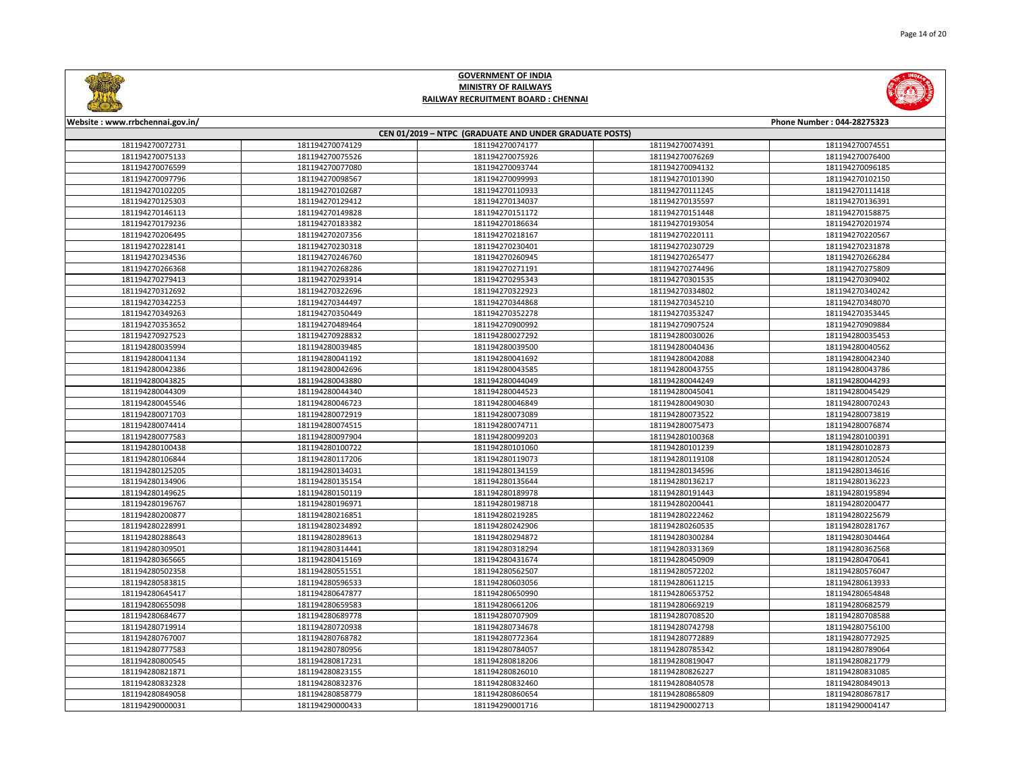

Page 14 of 20

# **GOVERNMENT OF INDIA MINISTRY OF RAILWAYS RAILWAY RECRUITMENT BOARD : CHENNAI**

| CEN 01/2019 - NTPC (GRADUATE AND UNDER GRADUATE POSTS) |                 |                 |                 |                 |  |
|--------------------------------------------------------|-----------------|-----------------|-----------------|-----------------|--|
| 181194270072731                                        | 181194270074129 | 181194270074177 | 181194270074391 | 181194270074551 |  |
| 181194270075133                                        | 181194270075526 | 181194270075926 | 181194270076269 | 181194270076400 |  |
| 181194270076599                                        | 181194270077080 | 181194270093744 | 181194270094132 | 181194270096185 |  |
| 181194270097796                                        | 181194270098567 | 181194270099993 | 181194270101390 | 181194270102150 |  |
| 181194270102205                                        | 181194270102687 | 181194270110933 | 181194270111245 | 181194270111418 |  |
| 181194270125303                                        | 181194270129412 | 181194270134037 | 181194270135597 | 181194270136391 |  |
| 181194270146113                                        | 181194270149828 | 181194270151172 | 181194270151448 | 181194270158875 |  |
| 181194270179236                                        | 181194270183382 | 181194270186634 | 181194270193054 | 181194270201974 |  |
| 181194270206495                                        | 181194270207356 | 181194270218167 | 181194270220111 | 181194270220567 |  |
| 181194270228141                                        | 181194270230318 | 181194270230401 | 181194270230729 | 181194270231878 |  |
| 181194270234536                                        | 181194270246760 | 181194270260945 | 181194270265477 | 181194270266284 |  |
| 181194270266368                                        | 181194270268286 | 181194270271191 | 181194270274496 | 181194270275809 |  |
| 181194270279413                                        | 181194270293914 | 181194270295343 | 181194270301535 | 181194270309402 |  |
| 181194270312692                                        | 181194270322696 | 181194270322923 | 181194270334802 | 181194270340242 |  |
| 181194270342253                                        | 181194270344497 | 181194270344868 | 181194270345210 | 181194270348070 |  |
| 181194270349263                                        | 181194270350449 | 181194270352278 | 181194270353247 | 181194270353445 |  |
| 181194270353652                                        | 181194270489464 | 181194270900992 | 181194270907524 | 181194270909884 |  |
| 181194270927523                                        | 181194270928832 | 181194280027292 | 181194280030026 | 181194280035453 |  |
| 181194280035994                                        | 181194280039485 | 181194280039500 | 181194280040436 | 181194280040562 |  |
| 181194280041134                                        | 181194280041192 | 181194280041692 | 181194280042088 | 181194280042340 |  |
| 181194280042386                                        | 181194280042696 | 181194280043585 | 181194280043755 | 181194280043786 |  |
| 181194280043825                                        | 181194280043880 | 181194280044049 | 181194280044249 | 181194280044293 |  |
| 181194280044309                                        | 181194280044340 | 181194280044523 | 181194280045041 | 181194280045429 |  |
| 181194280045546                                        | 181194280046723 | 181194280046849 | 181194280049030 | 181194280070243 |  |
| 181194280071703                                        | 181194280072919 | 181194280073089 | 181194280073522 | 181194280073819 |  |
| 181194280074414                                        | 181194280074515 | 181194280074711 | 181194280075473 | 181194280076874 |  |
| 181194280077583                                        | 181194280097904 | 181194280099203 | 181194280100368 | 181194280100391 |  |
| 181194280100438                                        | 181194280100722 | 181194280101060 | 181194280101239 | 181194280102873 |  |
| 181194280106844                                        | 181194280117206 | 181194280119073 | 181194280119108 | 181194280120524 |  |
| 181194280125205                                        | 181194280134031 | 181194280134159 | 181194280134596 | 181194280134616 |  |
| 181194280134906                                        | 181194280135154 | 181194280135644 | 181194280136217 | 181194280136223 |  |
| 181194280149625                                        | 181194280150119 | 181194280189978 | 181194280191443 | 181194280195894 |  |
| 181194280196767                                        | 181194280196971 | 181194280198718 | 181194280200441 | 181194280200477 |  |
| 181194280200877                                        | 181194280216851 | 181194280219285 | 181194280222462 | 181194280225679 |  |
| 181194280228991                                        | 181194280234892 | 181194280242906 | 181194280260535 | 181194280281767 |  |
| 181194280288643                                        | 181194280289613 | 181194280294872 | 181194280300284 | 181194280304464 |  |
| 181194280309501                                        | 181194280314441 | 181194280318294 | 181194280331369 | 181194280362568 |  |
| 181194280365665                                        | 181194280415169 | 181194280431674 | 181194280450909 | 181194280470641 |  |
| 181194280502358                                        | 181194280551551 | 181194280562507 | 181194280572202 | 181194280576047 |  |
| 181194280583815                                        | 181194280596533 | 181194280603056 | 181194280611215 | 181194280613933 |  |
| 181194280645417                                        | 181194280647877 | 181194280650990 | 181194280653752 | 181194280654848 |  |
| 181194280655098                                        | 181194280659583 | 181194280661206 | 181194280669219 | 181194280682579 |  |
| 181194280684677                                        | 181194280689778 | 181194280707909 | 181194280708520 | 181194280708588 |  |
| 181194280719914                                        | 181194280720938 | 181194280734678 | 181194280742798 | 181194280756100 |  |
| 181194280767007                                        | 181194280768782 | 181194280772364 | 181194280772889 | 181194280772925 |  |
| 181194280777583                                        | 181194280780956 | 181194280784057 | 181194280785342 | 181194280789064 |  |
| 181194280800545                                        | 181194280817231 | 181194280818206 | 181194280819047 | 181194280821779 |  |
| 181194280821871                                        | 181194280823155 | 181194280826010 | 181194280826227 | 181194280831085 |  |
| 181194280832328                                        | 181194280832376 | 181194280832460 | 181194280840578 | 181194280849013 |  |
| 181194280849058                                        | 181194280858779 | 181194280860654 | 181194280865809 | 181194280867817 |  |
| 181194290000031                                        | 181194290000433 | 181194290001716 | 181194290002713 | 181194290004147 |  |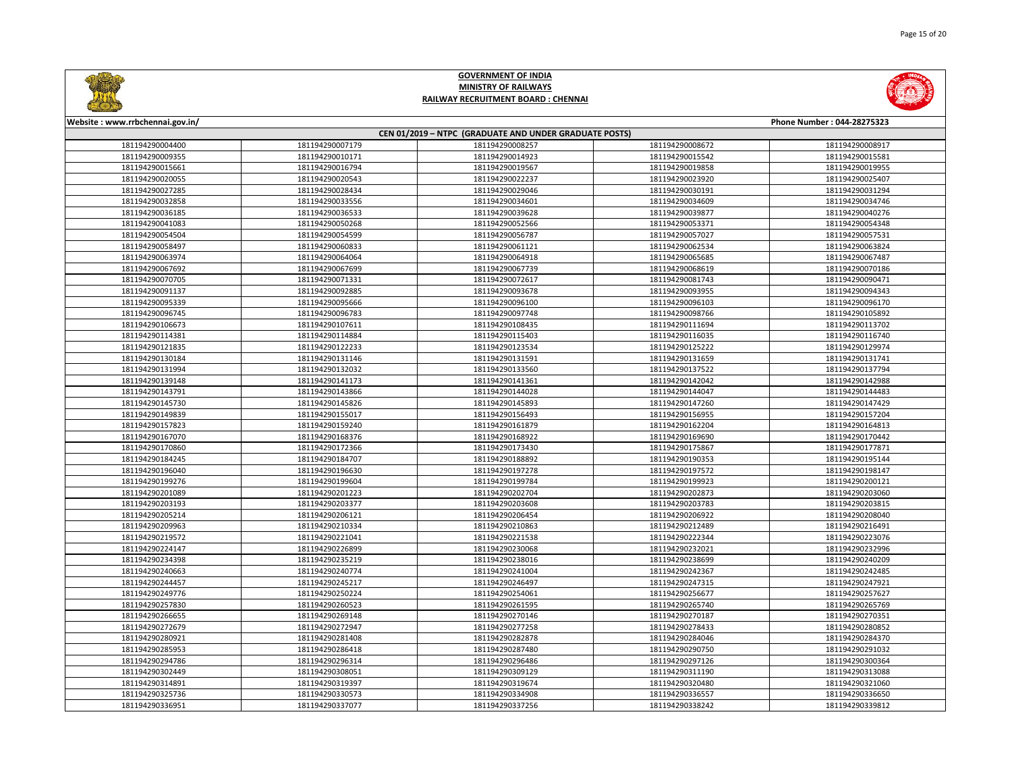

| CEN 01/2019 - NTPC (GRADUATE AND UNDER GRADUATE POSTS) |                 |                 |                 |                 |  |
|--------------------------------------------------------|-----------------|-----------------|-----------------|-----------------|--|
| 181194290004400                                        | 181194290007179 | 181194290008257 | 181194290008672 | 181194290008917 |  |
| 181194290009355                                        | 181194290010171 | 181194290014923 | 181194290015542 | 181194290015581 |  |
| 181194290015661                                        | 181194290016794 | 181194290019567 | 181194290019858 | 181194290019955 |  |
| 181194290020055                                        | 181194290020543 | 181194290022237 | 181194290023920 | 181194290025407 |  |
| 181194290027285                                        | 181194290028434 | 181194290029046 | 181194290030191 | 181194290031294 |  |
| 181194290032858                                        | 181194290033556 | 181194290034601 | 181194290034609 | 181194290034746 |  |
| 181194290036185                                        | 181194290036533 | 181194290039628 | 181194290039877 | 181194290040276 |  |
| 181194290041083                                        | 181194290050268 | 181194290052566 | 181194290053371 | 181194290054348 |  |
| 181194290054504                                        | 181194290054599 | 181194290056787 | 181194290057027 | 181194290057531 |  |
| 181194290058497                                        | 181194290060833 | 181194290061121 | 181194290062534 | 181194290063824 |  |
| 181194290063974                                        | 181194290064064 | 181194290064918 | 181194290065685 | 181194290067487 |  |
| 181194290067692                                        | 181194290067699 | 181194290067739 | 181194290068619 | 181194290070186 |  |
| 181194290070705                                        | 181194290071331 | 181194290072617 | 181194290081743 | 181194290090471 |  |
| 181194290091137                                        | 181194290092885 | 181194290093678 | 181194290093955 | 181194290094343 |  |
| 181194290095339                                        | 181194290095666 | 181194290096100 | 181194290096103 | 181194290096170 |  |
| 181194290096745                                        | 181194290096783 | 181194290097748 | 181194290098766 | 181194290105892 |  |
| 181194290106673                                        | 181194290107611 | 181194290108435 | 181194290111694 | 181194290113702 |  |
| 181194290114381                                        | 181194290114884 | 181194290115403 | 181194290116035 | 181194290116740 |  |
| 181194290121835                                        | 181194290122233 | 181194290123534 | 181194290125222 | 181194290129974 |  |
| 181194290130184                                        | 181194290131146 | 181194290131591 | 181194290131659 | 181194290131741 |  |
| 181194290131994                                        | 181194290132032 | 181194290133560 | 181194290137522 | 181194290137794 |  |
| 181194290139148                                        | 181194290141173 | 181194290141361 | 181194290142042 | 181194290142988 |  |
| 181194290143791                                        | 181194290143866 | 181194290144028 | 181194290144047 | 181194290144483 |  |
| 181194290145730                                        | 181194290145826 | 181194290145893 | 181194290147260 | 181194290147429 |  |
| 181194290149839                                        | 181194290155017 | 181194290156493 | 181194290156955 | 181194290157204 |  |
| 181194290157823                                        | 181194290159240 | 181194290161879 | 181194290162204 | 181194290164813 |  |
| 181194290167070                                        | 181194290168376 | 181194290168922 | 181194290169690 | 181194290170442 |  |
| 181194290170860                                        | 181194290172366 | 181194290173430 | 181194290175867 | 181194290177871 |  |
| 181194290184245                                        | 181194290184707 | 181194290188892 | 181194290190353 | 181194290195144 |  |
| 181194290196040                                        | 181194290196630 | 181194290197278 | 181194290197572 | 181194290198147 |  |
| 181194290199276                                        | 181194290199604 | 181194290199784 | 181194290199923 | 181194290200121 |  |
| 181194290201089                                        | 181194290201223 | 181194290202704 | 181194290202873 | 181194290203060 |  |
| 181194290203193                                        | 181194290203377 | 181194290203608 | 181194290203783 | 181194290203815 |  |
| 181194290205214                                        | 181194290206121 | 181194290206454 | 181194290206922 | 181194290208040 |  |
| 181194290209963                                        | 181194290210334 | 181194290210863 | 181194290212489 | 181194290216491 |  |
| 181194290219572                                        | 181194290221041 | 181194290221538 | 181194290222344 | 181194290223076 |  |
| 181194290224147                                        | 181194290226899 | 181194290230068 | 181194290232021 | 181194290232996 |  |
| 181194290234398                                        | 181194290235219 | 181194290238016 | 181194290238699 | 181194290240209 |  |
| 181194290240663                                        | 181194290240774 | 181194290241004 | 181194290242367 | 181194290242485 |  |
| 181194290244457                                        | 181194290245217 | 181194290246497 | 181194290247315 | 181194290247921 |  |
| 181194290249776                                        | 181194290250224 | 181194290254061 | 181194290256677 | 181194290257627 |  |
| 181194290257830                                        | 181194290260523 | 181194290261595 | 181194290265740 | 181194290265769 |  |
| 181194290266655                                        | 181194290269148 | 181194290270146 | 181194290270187 | 181194290270351 |  |
| 181194290272679                                        | 181194290272947 | 181194290277258 | 181194290278433 | 181194290280852 |  |
| 181194290280921                                        | 181194290281408 | 181194290282878 | 181194290284046 | 181194290284370 |  |
| 181194290285953                                        | 181194290286418 | 181194290287480 | 181194290290750 | 181194290291032 |  |
| 181194290294786                                        | 181194290296314 | 181194290296486 | 181194290297126 | 181194290300364 |  |
| 181194290302449                                        | 181194290308051 | 181194290309129 | 181194290311190 | 181194290313088 |  |
| 181194290314891                                        | 181194290319397 | 181194290319674 | 181194290320480 | 181194290321060 |  |
| 181194290325736                                        | 181194290330573 | 181194290334908 | 181194290336557 | 181194290336650 |  |
| 181194290336951                                        | 181194290337077 | 181194290337256 | 181194290338242 | 181194290339812 |  |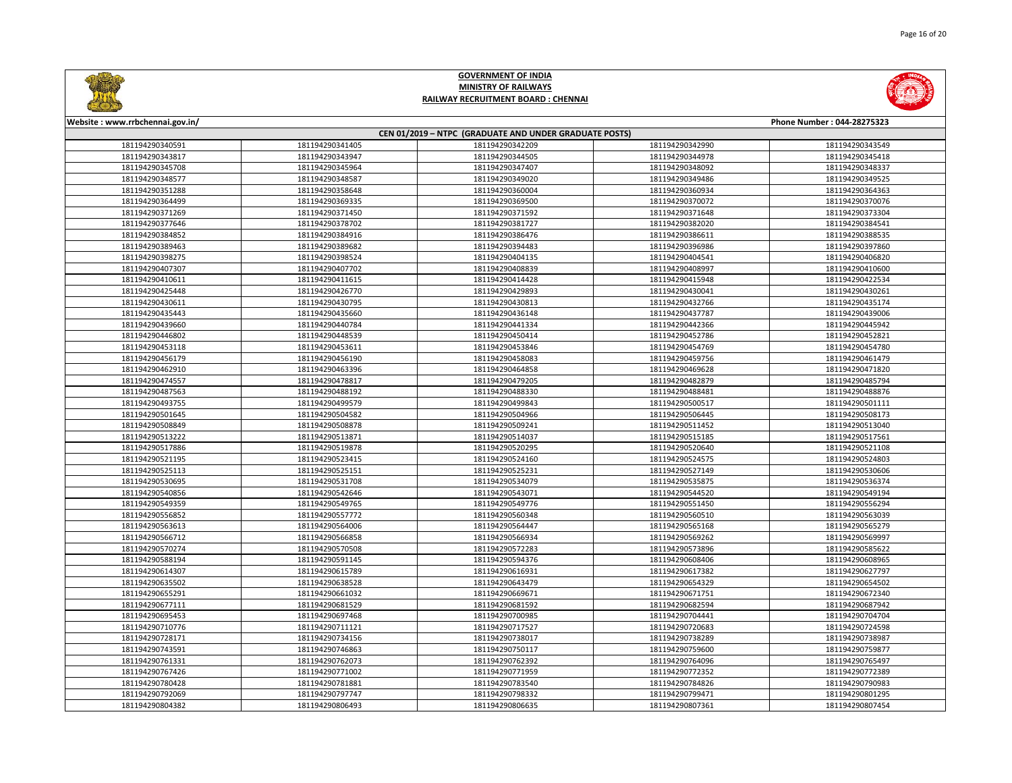

Page 16 of 20

# **GOVERNMENT OF INDIA MINISTRY OF RAILWAYS RAILWAY RECRUITMENT BOARD : CHENNAI**

| CEN 01/2019 - NTPC (GRADUATE AND UNDER GRADUATE POSTS) |                 |                 |                 |                 |  |
|--------------------------------------------------------|-----------------|-----------------|-----------------|-----------------|--|
| 181194290340591                                        | 181194290341405 | 181194290342209 | 181194290342990 | 181194290343549 |  |
| 181194290343817                                        | 181194290343947 | 181194290344505 | 181194290344978 | 181194290345418 |  |
| 181194290345708                                        | 181194290345964 | 181194290347407 | 181194290348092 | 181194290348337 |  |
| 181194290348577                                        | 181194290348587 | 181194290349020 | 181194290349486 | 181194290349525 |  |
| 181194290351288                                        | 181194290358648 | 181194290360004 | 181194290360934 | 181194290364363 |  |
| 181194290364499                                        | 181194290369335 | 181194290369500 | 181194290370072 | 181194290370076 |  |
| 181194290371269                                        | 181194290371450 | 181194290371592 | 181194290371648 | 181194290373304 |  |
| 181194290377646                                        | 181194290378702 | 181194290381727 | 181194290382020 | 181194290384541 |  |
| 181194290384852                                        | 181194290384916 | 181194290386476 | 181194290386611 | 181194290388535 |  |
| 181194290389463                                        | 181194290389682 | 181194290394483 | 181194290396986 | 181194290397860 |  |
| 181194290398275                                        | 181194290398524 | 181194290404135 | 181194290404541 | 181194290406820 |  |
| 181194290407307                                        | 181194290407702 | 181194290408839 | 181194290408997 | 181194290410600 |  |
| 181194290410611                                        | 181194290411615 | 181194290414428 | 181194290415948 | 181194290422534 |  |
| 181194290425448                                        | 181194290426770 | 181194290429893 | 181194290430041 | 181194290430261 |  |
| 181194290430611                                        | 181194290430795 | 181194290430813 | 181194290432766 | 181194290435174 |  |
| 181194290435443                                        | 181194290435660 | 181194290436148 | 181194290437787 | 181194290439006 |  |
| 181194290439660                                        | 181194290440784 | 181194290441334 | 181194290442366 | 181194290445942 |  |
| 181194290446802                                        | 181194290448539 | 181194290450414 | 181194290452786 | 181194290452821 |  |
| 181194290453118                                        | 181194290453611 | 181194290453846 | 181194290454769 | 181194290454780 |  |
| 181194290456179                                        | 181194290456190 | 181194290458083 | 181194290459756 | 181194290461479 |  |
| 181194290462910                                        | 181194290463396 | 181194290464858 | 181194290469628 | 181194290471820 |  |
| 181194290474557                                        | 181194290478817 | 181194290479205 | 181194290482879 | 181194290485794 |  |
| 181194290487563                                        | 181194290488192 | 181194290488330 | 181194290488481 | 181194290488876 |  |
| 181194290493755                                        | 181194290499579 | 181194290499843 | 181194290500517 | 181194290501111 |  |
| 181194290501645                                        | 181194290504582 | 181194290504966 | 181194290506445 | 181194290508173 |  |
| 181194290508849                                        | 181194290508878 | 181194290509241 | 181194290511452 | 181194290513040 |  |
| 181194290513222                                        | 181194290513871 | 181194290514037 | 181194290515185 | 181194290517561 |  |
| 181194290517886                                        | 181194290519878 | 181194290520295 | 181194290520640 | 181194290521108 |  |
| 181194290521195                                        | 181194290523415 | 181194290524160 | 181194290524575 | 181194290524803 |  |
| 181194290525113                                        | 181194290525151 | 181194290525231 | 181194290527149 | 181194290530606 |  |
| 181194290530695                                        | 181194290531708 | 181194290534079 | 181194290535875 | 181194290536374 |  |
| 181194290540856                                        | 181194290542646 | 181194290543071 | 181194290544520 | 181194290549194 |  |
| 181194290549359                                        | 181194290549765 | 181194290549776 | 181194290551450 | 181194290556294 |  |
| 181194290556852                                        | 181194290557772 | 181194290560348 | 181194290560510 | 181194290563039 |  |
| 181194290563613                                        | 181194290564006 | 181194290564447 | 181194290565168 | 181194290565279 |  |
| 181194290566712                                        | 181194290566858 | 181194290566934 | 181194290569262 | 181194290569997 |  |
| 181194290570274                                        | 181194290570508 | 181194290572283 | 181194290573896 | 181194290585622 |  |
| 181194290588194                                        | 181194290591145 | 181194290594376 | 181194290608406 | 181194290608965 |  |
| 181194290614307                                        | 181194290615789 | 181194290616931 | 181194290617382 | 181194290627797 |  |
| 181194290635502                                        | 181194290638528 | 181194290643479 | 181194290654329 | 181194290654502 |  |
| 181194290655291                                        | 181194290661032 | 181194290669671 | 181194290671751 | 181194290672340 |  |
| 181194290677111                                        | 181194290681529 | 181194290681592 | 181194290682594 | 181194290687942 |  |
| 181194290695453                                        | 181194290697468 | 181194290700985 | 181194290704441 | 181194290704704 |  |
| 181194290710776                                        | 181194290711121 | 181194290717527 | 181194290720683 | 181194290724598 |  |
| 181194290728171                                        | 181194290734156 | 181194290738017 | 181194290738289 | 181194290738987 |  |
| 181194290743591                                        | 181194290746863 | 181194290750117 | 181194290759600 | 181194290759877 |  |
| 181194290761331                                        | 181194290762073 | 181194290762392 | 181194290764096 | 181194290765497 |  |
| 181194290767426                                        | 181194290771002 | 181194290771959 | 181194290772352 | 181194290772389 |  |
| 181194290780428                                        | 181194290781881 | 181194290783540 | 181194290784826 | 181194290790983 |  |
| 181194290792069                                        | 181194290797747 | 181194290798332 | 181194290799471 | 181194290801295 |  |
| 181194290804382                                        | 181194290806493 | 181194290806635 | 181194290807361 | 181194290807454 |  |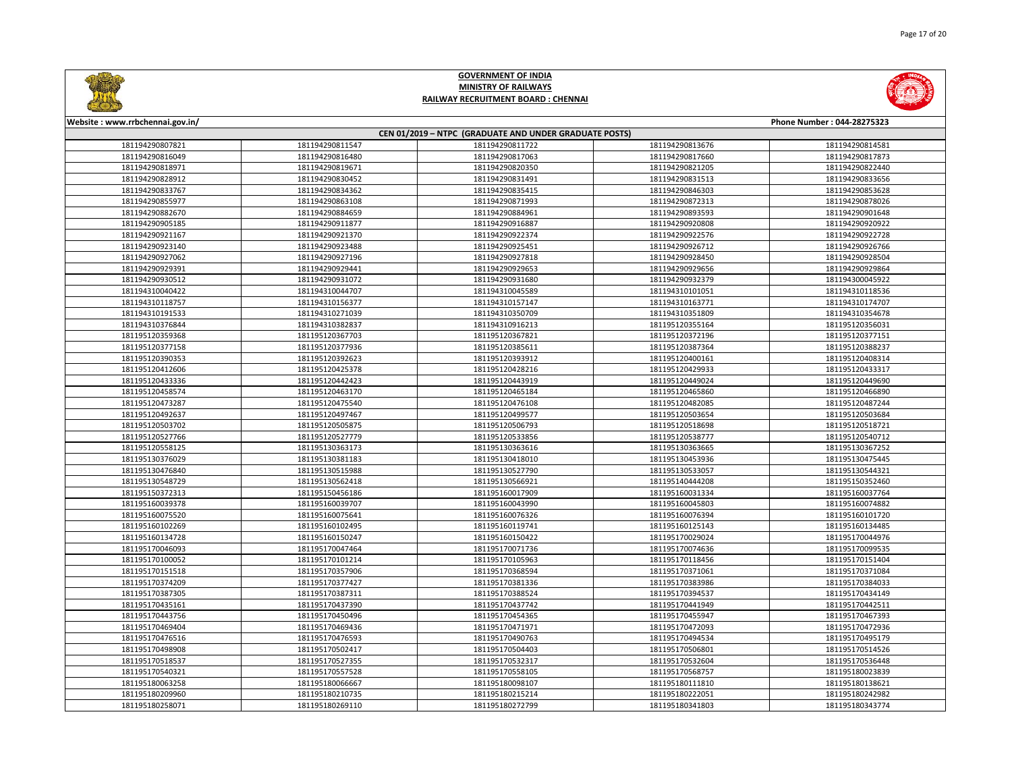

Page 17 of 20

# **GOVERNMENT OF INDIA MINISTRY OF RAILWAYS RAILWAY RECRUITMENT BOARD : CHENNAI**

| CEN 01/2019 - NTPC (GRADUATE AND UNDER GRADUATE POSTS) |                 |                 |                 |                 |  |
|--------------------------------------------------------|-----------------|-----------------|-----------------|-----------------|--|
| 181194290807821                                        | 181194290811547 | 181194290811722 | 181194290813676 | 181194290814581 |  |
| 181194290816049                                        | 181194290816480 | 181194290817063 | 181194290817660 | 181194290817873 |  |
| 181194290818971                                        | 181194290819671 | 181194290820350 | 181194290821205 | 181194290822440 |  |
| 181194290828912                                        | 181194290830452 | 181194290831491 | 181194290831513 | 181194290833656 |  |
| 181194290833767                                        | 181194290834362 | 181194290835415 | 181194290846303 | 181194290853628 |  |
| 181194290855977                                        | 181194290863108 | 181194290871993 | 181194290872313 | 181194290878026 |  |
| 181194290882670                                        | 181194290884659 | 181194290884961 | 181194290893593 | 181194290901648 |  |
| 181194290905185                                        | 181194290911877 | 181194290916887 | 181194290920808 | 181194290920922 |  |
| 181194290921167                                        | 181194290921370 | 181194290922374 | 181194290922576 | 181194290922728 |  |
| 181194290923140                                        | 181194290923488 | 181194290925451 | 181194290926712 | 181194290926766 |  |
| 181194290927062                                        | 181194290927196 | 181194290927818 | 181194290928450 | 181194290928504 |  |
| 181194290929391                                        | 181194290929441 | 181194290929653 | 181194290929656 | 181194290929864 |  |
| 181194290930512                                        | 181194290931072 | 181194290931680 | 181194290932379 | 181194300045922 |  |
| 181194310040422                                        | 181194310044707 | 181194310045589 | 181194310101051 | 181194310118536 |  |
| 181194310118757                                        | 181194310156377 | 181194310157147 | 181194310163771 | 181194310174707 |  |
| 181194310191533                                        | 181194310271039 | 181194310350709 | 181194310351809 | 181194310354678 |  |
| 181194310376844                                        | 181194310382837 | 181194310916213 | 181195120355164 | 181195120356031 |  |
| 181195120359368                                        | 181195120367703 | 181195120367821 | 181195120372196 | 181195120377151 |  |
| 181195120377158                                        | 181195120377936 | 181195120385611 | 181195120387364 | 181195120388237 |  |
| 181195120390353                                        | 181195120392623 | 181195120393912 | 181195120400161 | 181195120408314 |  |
| 181195120412606                                        | 181195120425378 | 181195120428216 | 181195120429933 | 181195120433317 |  |
| 181195120433336                                        | 181195120442423 | 181195120443919 | 181195120449024 | 181195120449690 |  |
| 181195120458574                                        | 181195120463170 | 181195120465184 | 181195120465860 | 181195120466890 |  |
| 181195120473287                                        | 181195120475540 | 181195120476108 | 181195120482085 | 181195120487244 |  |
| 181195120492637                                        | 181195120497467 | 181195120499577 | 181195120503654 | 181195120503684 |  |
| 181195120503702                                        | 181195120505875 | 181195120506793 | 181195120518698 | 181195120518721 |  |
| 181195120527766                                        | 181195120527779 | 181195120533856 | 181195120538777 | 181195120540712 |  |
| 181195120558125                                        | 181195130363173 | 181195130363616 | 181195130363665 | 181195130367252 |  |
| 181195130376029                                        | 181195130381183 | 181195130418010 | 181195130453936 | 181195130475445 |  |
| 181195130476840                                        | 181195130515988 | 181195130527790 | 181195130533057 | 181195130544321 |  |
| 181195130548729                                        | 181195130562418 | 181195130566921 | 181195140444208 | 181195150352460 |  |
| 181195150372313                                        | 181195150456186 | 181195160017909 | 181195160031334 | 181195160037764 |  |
| 181195160039378                                        | 181195160039707 | 181195160043990 | 181195160045803 | 181195160074882 |  |
| 181195160075520                                        | 181195160075641 | 181195160076326 | 181195160076394 | 181195160101720 |  |
| 181195160102269                                        | 181195160102495 | 181195160119741 | 181195160125143 | 181195160134485 |  |
| 181195160134728                                        | 181195160150247 | 181195160150422 | 181195170029024 | 181195170044976 |  |
| 181195170046093                                        | 181195170047464 | 181195170071736 | 181195170074636 | 181195170099535 |  |
| 181195170100052                                        | 181195170101214 | 181195170105963 | 181195170118456 | 181195170151404 |  |
| 181195170151518                                        | 181195170357906 | 181195170368594 | 181195170371061 | 181195170371084 |  |
| 181195170374209                                        | 181195170377427 | 181195170381336 | 181195170383986 | 181195170384033 |  |
| 181195170387305                                        | 181195170387311 | 181195170388524 | 181195170394537 | 181195170434149 |  |
| 181195170435161                                        | 181195170437390 | 181195170437742 | 181195170441949 | 181195170442511 |  |
| 181195170443756                                        | 181195170450496 | 181195170454365 | 181195170455947 | 181195170467393 |  |
| 181195170469404                                        | 181195170469436 | 181195170471971 | 181195170472093 | 181195170472936 |  |
| 181195170476516                                        | 181195170476593 | 181195170490763 | 181195170494534 | 181195170495179 |  |
| 181195170498908                                        | 181195170502417 | 181195170504403 | 181195170506801 | 181195170514526 |  |
| 181195170518537                                        | 181195170527355 | 181195170532317 | 181195170532604 | 181195170536448 |  |
| 181195170540321                                        | 181195170557528 | 181195170558105 | 181195170568757 | 181195180023839 |  |
| 181195180063258                                        | 181195180066667 | 181195180098107 | 181195180111810 | 181195180138621 |  |
| 181195180209960                                        | 181195180210735 | 181195180215214 | 181195180222051 | 181195180242982 |  |
| 181195180258071                                        | 181195180269110 | 181195180272799 | 181195180341803 | 181195180343774 |  |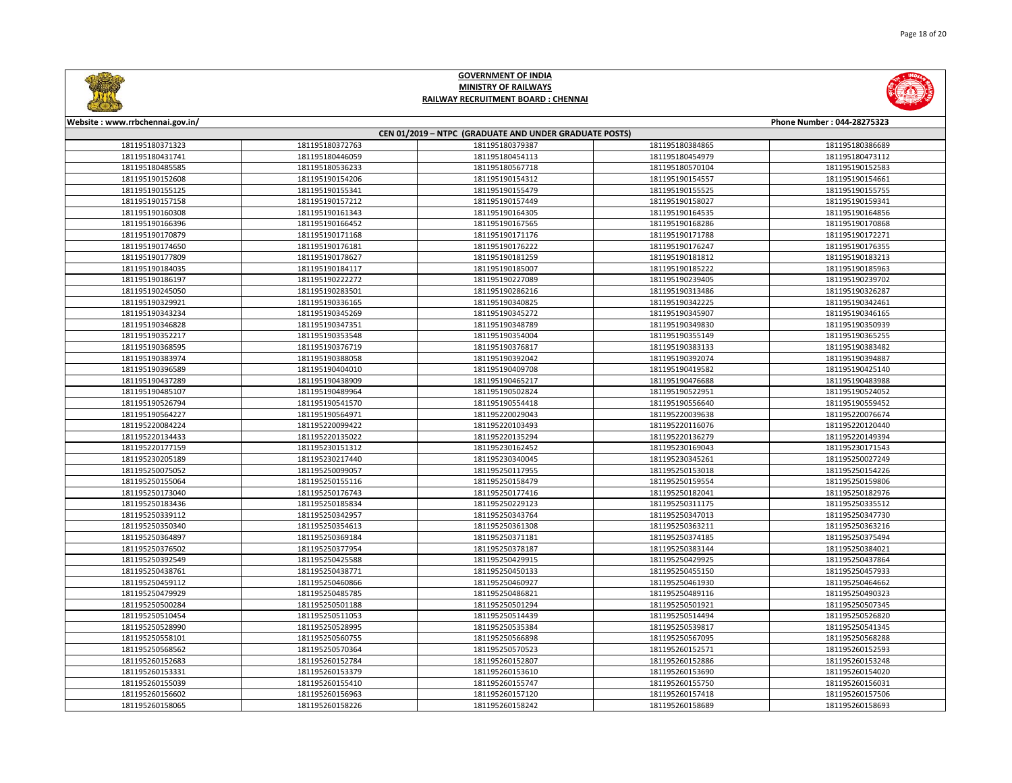

| CEN 01/2019 - NTPC (GRADUATE AND UNDER GRADUATE POSTS) |                 |                 |                 |                 |  |
|--------------------------------------------------------|-----------------|-----------------|-----------------|-----------------|--|
| 181195180371323                                        | 181195180372763 | 181195180379387 | 181195180384865 | 181195180386689 |  |
| 181195180431741                                        | 181195180446059 | 181195180454113 | 181195180454979 | 181195180473112 |  |
| 181195180485585                                        | 181195180536233 | 181195180567718 | 181195180570104 | 181195190152583 |  |
| 181195190152608                                        | 181195190154206 | 181195190154312 | 181195190154557 | 181195190154661 |  |
| 181195190155125                                        | 181195190155341 | 181195190155479 | 181195190155525 | 181195190155755 |  |
| 181195190157158                                        | 181195190157212 | 181195190157449 | 181195190158027 | 181195190159341 |  |
| 181195190160308                                        | 181195190161343 | 181195190164305 | 181195190164535 | 181195190164856 |  |
| 181195190166396                                        | 181195190166452 | 181195190167565 | 181195190168286 | 181195190170868 |  |
| 181195190170879                                        | 181195190171168 | 181195190171176 | 181195190171788 | 181195190172271 |  |
| 181195190174650                                        | 181195190176181 | 181195190176222 | 181195190176247 | 181195190176355 |  |
| 181195190177809                                        | 181195190178627 | 181195190181259 | 181195190181812 | 181195190183213 |  |
| 181195190184035                                        | 181195190184117 | 181195190185007 | 181195190185222 | 181195190185963 |  |
| 181195190186197                                        | 181195190222272 | 181195190227089 | 181195190239405 | 181195190239702 |  |
| 181195190245050                                        | 181195190283501 | 181195190286216 | 181195190313486 | 181195190326287 |  |
| 181195190329921                                        | 181195190336165 | 181195190340825 | 181195190342225 | 181195190342461 |  |
| 181195190343234                                        | 181195190345269 | 181195190345272 | 181195190345907 | 181195190346165 |  |
| 181195190346828                                        | 181195190347351 | 181195190348789 | 181195190349830 | 181195190350939 |  |
| 181195190352217                                        | 181195190353548 | 181195190354004 | 181195190355149 | 181195190365255 |  |
| 181195190368595                                        | 181195190376719 | 181195190376817 | 181195190383133 | 181195190383482 |  |
| 181195190383974                                        | 181195190388058 | 181195190392042 | 181195190392074 | 181195190394887 |  |
| 181195190396589                                        | 181195190404010 | 181195190409708 | 181195190419582 | 181195190425140 |  |
| 181195190437289                                        | 181195190438909 | 181195190465217 | 181195190476688 | 181195190483988 |  |
| 181195190485107                                        | 181195190489964 | 181195190502824 | 181195190522951 | 181195190524052 |  |
| 181195190526794                                        | 181195190541570 | 181195190554418 | 181195190556640 | 181195190559452 |  |
| 181195190564227                                        | 181195190564971 | 181195220029043 | 181195220039638 | 181195220076674 |  |
| 181195220084224                                        | 181195220099422 | 181195220103493 | 181195220116076 | 181195220120440 |  |
| 181195220134433                                        | 181195220135022 | 181195220135294 | 181195220136279 | 181195220149394 |  |
| 181195220177159                                        | 181195230151312 | 181195230162452 | 181195230169043 | 181195230171543 |  |
| 181195230205189                                        | 181195230217440 | 181195230340045 | 181195230345261 | 181195250027249 |  |
| 181195250075052                                        | 181195250099057 | 181195250117955 | 181195250153018 | 181195250154226 |  |
| 181195250155064                                        | 181195250155116 | 181195250158479 | 181195250159554 | 181195250159806 |  |
| 181195250173040                                        | 181195250176743 | 181195250177416 | 181195250182041 | 181195250182976 |  |
| 181195250183436                                        | 181195250185834 | 181195250229123 | 181195250311175 | 181195250335512 |  |
| 181195250339112                                        | 181195250342957 | 181195250343764 | 181195250347013 | 181195250347730 |  |
| 181195250350340                                        | 181195250354613 | 181195250361308 | 181195250363211 | 181195250363216 |  |
| 181195250364897                                        | 181195250369184 | 181195250371181 | 181195250374185 | 181195250375494 |  |
| 181195250376502                                        | 181195250377954 | 181195250378187 | 181195250383144 | 181195250384021 |  |
| 181195250392549                                        | 181195250425588 | 181195250429915 | 181195250429925 | 181195250437864 |  |
| 181195250438761                                        | 181195250438771 | 181195250450133 | 181195250455150 | 181195250457933 |  |
| 181195250459112                                        | 181195250460866 | 181195250460927 | 181195250461930 | 181195250464662 |  |
| 181195250479929                                        | 181195250485785 | 181195250486821 | 181195250489116 | 181195250490323 |  |
| 181195250500284                                        | 181195250501188 | 181195250501294 | 181195250501921 | 181195250507345 |  |
| 181195250510454                                        | 181195250511053 | 181195250514439 | 181195250514494 | 181195250526820 |  |
| 181195250528990                                        | 181195250528995 | 181195250535384 | 181195250539817 | 181195250541345 |  |
| 181195250558101                                        | 181195250560755 | 181195250566898 | 181195250567095 | 181195250568288 |  |
| 181195250568562                                        | 181195250570364 | 181195250570523 | 181195260152571 | 181195260152593 |  |
| 181195260152683                                        | 181195260152784 | 181195260152807 | 181195260152886 | 181195260153248 |  |
| 181195260153331                                        | 181195260153379 | 181195260153610 | 181195260153690 | 181195260154020 |  |
| 181195260155039                                        | 181195260155410 | 181195260155747 | 181195260155750 | 181195260156031 |  |
| 181195260156602                                        | 181195260156963 | 181195260157120 | 181195260157418 | 181195260157506 |  |
| 181195260158065                                        | 181195260158226 | 181195260158242 | 181195260158689 | 181195260158693 |  |

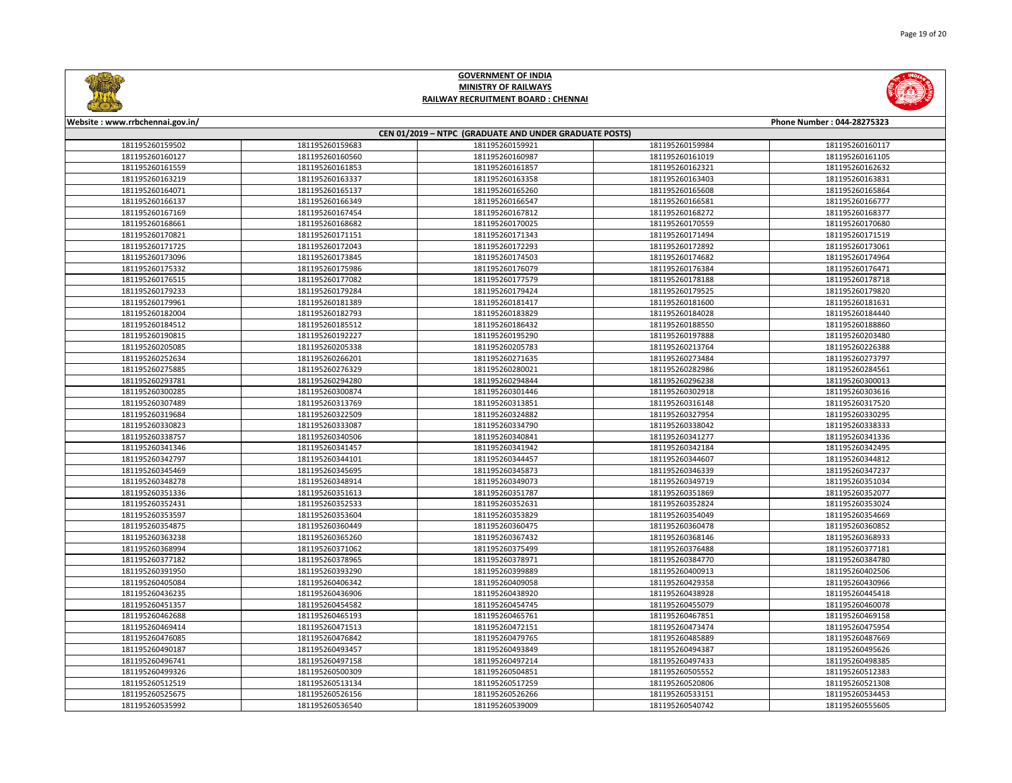

| CEN 01/2019 - NTPC (GRADUATE AND UNDER GRADUATE POSTS) |                 |                 |                 |                 |  |
|--------------------------------------------------------|-----------------|-----------------|-----------------|-----------------|--|
| 181195260159502                                        | 181195260159683 | 181195260159921 | 181195260159984 | 181195260160117 |  |
| 181195260160127                                        | 181195260160560 | 181195260160987 | 181195260161019 | 181195260161105 |  |
| 181195260161559                                        | 181195260161853 | 181195260161857 | 181195260162321 | 181195260162632 |  |
| 181195260163219                                        | 181195260163337 | 181195260163358 | 181195260163403 | 181195260163831 |  |
| 181195260164071                                        | 181195260165137 | 181195260165260 | 181195260165608 | 181195260165864 |  |
| 181195260166137                                        | 181195260166349 | 181195260166547 | 181195260166581 | 181195260166777 |  |
| 181195260167169                                        | 181195260167454 | 181195260167812 | 181195260168272 | 181195260168377 |  |
| 181195260168661                                        | 181195260168682 | 181195260170025 | 181195260170559 | 181195260170680 |  |
| 181195260170821                                        | 181195260171151 | 181195260171343 | 181195260171494 | 181195260171519 |  |
| 181195260171725                                        | 181195260172043 | 181195260172293 | 181195260172892 | 181195260173061 |  |
| 181195260173096                                        | 181195260173845 | 181195260174503 | 181195260174682 | 181195260174964 |  |
| 181195260175332                                        | 181195260175986 | 181195260176079 | 181195260176384 | 181195260176471 |  |
| 181195260176515                                        | 181195260177082 | 181195260177579 | 181195260178188 | 181195260178718 |  |
| 181195260179233                                        | 181195260179284 | 181195260179424 | 181195260179525 | 181195260179820 |  |
| 181195260179961                                        | 181195260181389 | 181195260181417 | 181195260181600 | 181195260181631 |  |
| 181195260182004                                        | 181195260182793 | 181195260183829 | 181195260184028 | 181195260184440 |  |
| 181195260184512                                        | 181195260185512 | 181195260186432 | 181195260188550 | 181195260188860 |  |
| 181195260190815                                        | 181195260192227 | 181195260195290 | 181195260197888 | 181195260203480 |  |
| 181195260205085                                        | 181195260205338 | 181195260205783 | 181195260213764 | 181195260226388 |  |
| 181195260252634                                        | 181195260266201 | 181195260271635 | 181195260273484 | 181195260273797 |  |
| 181195260275885                                        | 181195260276329 | 181195260280021 | 181195260282986 | 181195260284561 |  |
| 181195260293781                                        | 181195260294280 | 181195260294844 | 181195260296238 | 181195260300013 |  |
| 181195260300285                                        | 181195260300874 | 181195260301446 | 181195260302918 | 181195260303616 |  |
| 181195260307489                                        | 181195260313769 | 181195260313851 | 181195260316148 | 181195260317520 |  |
| 181195260319684                                        | 181195260322509 | 181195260324882 | 181195260327954 | 181195260330295 |  |
| 181195260330823                                        | 181195260333087 | 181195260334790 | 181195260338042 | 181195260338333 |  |
| 181195260338757                                        | 181195260340506 | 181195260340841 | 181195260341277 | 181195260341336 |  |
| 181195260341346                                        | 181195260341457 | 181195260341942 | 181195260342184 | 181195260342495 |  |
| 181195260342797                                        | 181195260344101 | 181195260344457 | 181195260344607 | 181195260344812 |  |
| 181195260345469                                        | 181195260345695 | 181195260345873 | 181195260346339 | 181195260347237 |  |
| 181195260348278                                        | 181195260348914 | 181195260349073 | 181195260349719 | 181195260351034 |  |
| 181195260351336                                        | 181195260351613 | 181195260351787 | 181195260351869 | 181195260352077 |  |
| 181195260352431                                        | 181195260352533 | 181195260352631 | 181195260352824 | 181195260353024 |  |
| 181195260353597                                        | 181195260353604 | 181195260353829 | 181195260354049 | 181195260354669 |  |
| 181195260354875                                        | 181195260360449 | 181195260360475 | 181195260360478 | 181195260360852 |  |
| 181195260363238                                        | 181195260365260 | 181195260367432 | 181195260368146 | 181195260368933 |  |
| 181195260368994                                        | 181195260371062 | 181195260375499 | 181195260376488 | 181195260377181 |  |
| 181195260377182                                        | 181195260378965 | 181195260378971 | 181195260384770 | 181195260384780 |  |
| 181195260391950                                        | 181195260393290 | 181195260399889 | 181195260400913 | 181195260402506 |  |
| 181195260405084                                        | 181195260406342 | 181195260409058 | 181195260429358 | 181195260430966 |  |
| 181195260436235                                        | 181195260436906 | 181195260438920 | 181195260438928 | 181195260445418 |  |
| 181195260451357                                        | 181195260454582 | 181195260454745 | 181195260455079 | 181195260460078 |  |
| 181195260462688                                        | 181195260465193 | 181195260465761 | 181195260467851 | 181195260469158 |  |
| 181195260469414                                        | 181195260471513 | 181195260472151 | 181195260473474 | 181195260475954 |  |
| 181195260476085                                        | 181195260476842 | 181195260479765 | 181195260485889 | 181195260487669 |  |
| 181195260490187                                        | 181195260493457 | 181195260493849 | 181195260494387 | 181195260495626 |  |
| 181195260496741                                        | 181195260497158 | 181195260497214 | 181195260497433 | 181195260498385 |  |
| 181195260499326                                        | 181195260500309 | 181195260504851 | 181195260505552 | 181195260512383 |  |
| 181195260512519                                        | 181195260513134 | 181195260517259 | 181195260520806 | 181195260521308 |  |
| 181195260525675                                        | 181195260526156 | 181195260526266 | 181195260533151 | 181195260534453 |  |
| 181195260535992                                        | 181195260536540 | 181195260539009 | 181195260540742 | 181195260555605 |  |